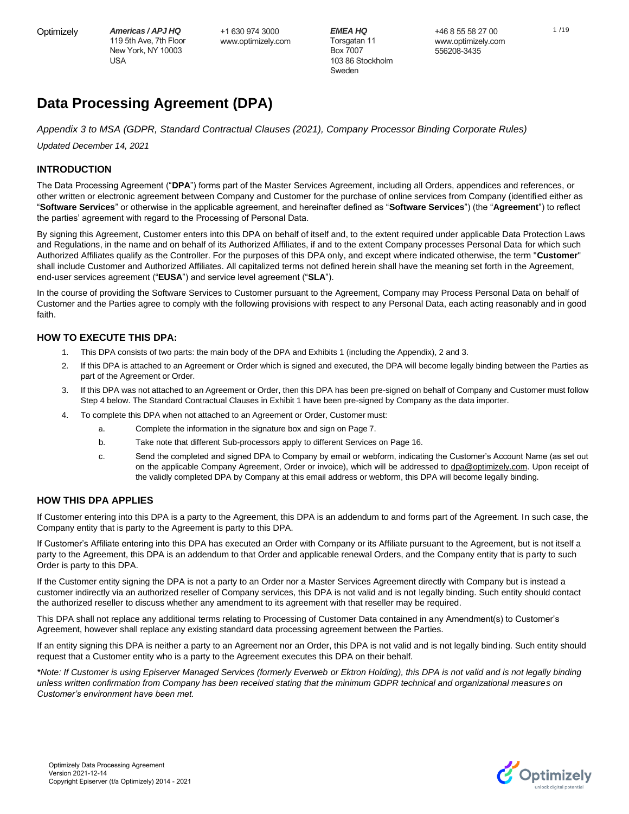+1 630 974 3000 www.optimizely.com *EMEA HQ* Torsgatan 11 Box 7007 103 86 Stockholm Sweden

# **Data Processing Agreement (DPA)**

*Appendix 3 to MSA (GDPR, Standard Contractual Clauses (2021), Company Processor Binding Corporate Rules)*

*Updated December 14, 2021*

# **INTRODUCTION**

The Data Processing Agreement ("**DPA**") forms part of the Master Services Agreement, including all Orders, appendices and references, or other written or electronic agreement between Company and Customer for the purchase of online services from Company (identified either as "**Software Services**" or otherwise in the applicable agreement, and hereinafter defined as "**Software Services**") (the "**Agreement**") to reflect the parties' agreement with regard to the Processing of Personal Data.

By signing this Agreement, Customer enters into this DPA on behalf of itself and, to the extent required under applicable Data Protection Laws and Regulations, in the name and on behalf of its Authorized Affiliates, if and to the extent Company processes Personal Data for which such Authorized Affiliates qualify as the Controller. For the purposes of this DPA only, and except where indicated otherwise, the term "**Customer**" shall include Customer and Authorized Affiliates. All capitalized terms not defined herein shall have the meaning set forth in the Agreement, end-user services agreement ("**EUSA**") and service level agreement ("**SLA**").

In the course of providing the Software Services to Customer pursuant to the Agreement, Company may Process Personal Data on behalf of Customer and the Parties agree to comply with the following provisions with respect to any Personal Data, each acting reasonably and in good faith.

## **HOW TO EXECUTE THIS DPA:**

- 1. This DPA consists of two parts: the main body of the DPA and Exhibits 1 (including the Appendix), 2 and 3.
- 2. If this DPA is attached to an Agreement or Order which is signed and executed, the DPA will become legally binding between the Parties as part of the Agreement or Order.
- 3. If this DPA was not attached to an Agreement or Order, then this DPA has been pre-signed on behalf of Company and Customer must follow Step 4 below. The Standard Contractual Clauses in Exhibit 1 have been pre-signed by Company as the data importer.
- 4. To complete this DPA when not attached to an Agreement or Order, Customer must:
	- a. Complete the information in the signature box and sign on Page 7.
	- b. Take note that different Sub-processors apply to different Services on Page 16.
	- c. Send the completed and signed DPA to Company by email or webform, indicating the Customer's Account Name (as set out on the applicable Company Agreement, Order or invoice), which will be addressed to [dpa@optimizely.com.](mailto:dpa@optimizely.com) Upon receipt of the validly completed DPA by Company at this email address or webform, this DPA will become legally binding.

# **HOW THIS DPA APPLIES**

If Customer entering into this DPA is a party to the Agreement, this DPA is an addendum to and forms part of the Agreement. In such case, the Company entity that is party to the Agreement is party to this DPA.

If Customer's Affiliate entering into this DPA has executed an Order with Company or its Affiliate pursuant to the Agreement, but is not itself a party to the Agreement, this DPA is an addendum to that Order and applicable renewal Orders, and the Company entity that is party to such Order is party to this DPA.

If the Customer entity signing the DPA is not a party to an Order nor a Master Services Agreement directly with Company but is instead a customer indirectly via an authorized reseller of Company services, this DPA is not valid and is not legally binding. Such entity should contact the authorized reseller to discuss whether any amendment to its agreement with that reseller may be required.

This DPA shall not replace any additional terms relating to Processing of Customer Data contained in any Amendment(s) to Customer's Agreement, however shall replace any existing standard data processing agreement between the Parties.

If an entity signing this DPA is neither a party to an Agreement nor an Order, this DPA is not valid and is not legally binding. Such entity should request that a Customer entity who is a party to the Agreement executes this DPA on their behalf.

*\*Note: If Customer is using Episerver Managed Services (formerly Everweb or Ektron Holding), this DPA is not valid and is not legally binding unless written confirmation from Company has been received stating that the minimum GDPR technical and organizational measures on Customer's environment have been met.* 

1 /19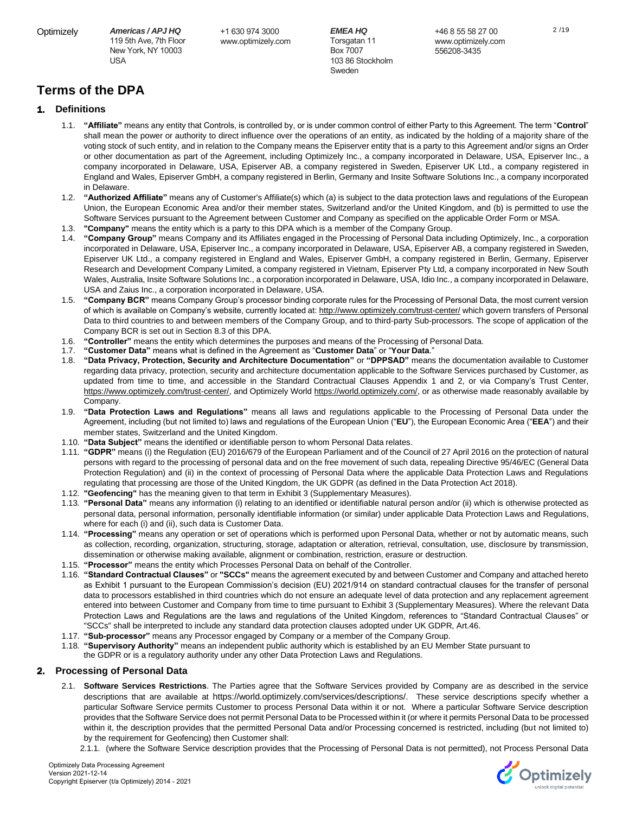+1 630 974 3000 www.optimizely.com

*EMEA HQ* Torsgatan 11 Box 7007 103 86 Stockholm Sweden

+46 8 55 58 27 00 www.optimizely.com 556208-3435

# **Terms of the DPA**

# 1. **Definitions**

- 1.1. **"Affiliate"** means any entity that Controls, is controlled by, or is under common control of either Party to this Agreement. The term "**Control**" shall mean the power or authority to direct influence over the operations of an entity, as indicated by the holding of a majority share of the voting stock of such entity, and in relation to the Company means the Episerver entity that is a party to this Agreement and/or signs an Order or other documentation as part of the Agreement, including Optimizely Inc., a company incorporated in Delaware, USA, Episerver Inc., a company incorporated in Delaware, USA, Episerver AB, a company registered in Sweden, Episerver UK Ltd., a company registered in England and Wales, Episerver GmbH, a company registered in Berlin, Germany and Insite Software Solutions Inc., a company incorporated in Delaware.
- 1.2. **"Authorized Affiliate"** means any of Customer's Affiliate(s) which (a) is subject to the data protection laws and regulations of the European Union, the European Economic Area and/or their member states, Switzerland and/or the United Kingdom, and (b) is permitted to use the Software Services pursuant to the Agreement between Customer and Company as specified on the applicable Order Form or MSA.
- 1.3. **"Company"** means the entity which is a party to this DPA which is a member of the Company Group.
- 1.4. **"Company Group"** means Company and its Affiliates engaged in the Processing of Personal Data including Optimizely, Inc., a corporation incorporated in Delaware, USA, Episerver Inc., a company incorporated in Delaware, USA, Episerver AB, a company registered in Sweden, Episerver UK Ltd., a company registered in England and Wales, Episerver GmbH, a company registered in Berlin, Germany, Episerver Research and Development Company Limited, a company registered in Vietnam, Episerver Pty Ltd, a company incorporated in New South Wales, Australia, Insite Software Solutions Inc., a corporation incorporated in Delaware, USA, Idio Inc., a company incorporated in Delaware, USA and Zaius Inc., a corporation incorporated in Delaware, USA.
- 1.5. **"Company BCR"** means Company Group's processor binding corporate rules for the Processing of Personal Data, the most current version of which is available on Company's website, currently located at[: http://www.optimizely.com/trust-center/](http://www.episerver.com/trust-center/) which govern transfers of Personal Data to third countries to and between members of the Company Group, and to third-party Sub-processors. The scope of application of the Company BCR is set out in Section 8.3 of this DPA.
- 1.6. **"Controller"** means the entity which determines the purposes and means of the Processing of Personal Data.
- 1.7. **"Customer Data"** means what is defined in the Agreement as "**Customer Data**" or "**Your Data**."
- 1.8. **"Data Privacy, Protection, Security and Architecture Documentation"** or **"DPPSAD"** means the documentation available to Customer regarding data privacy, protection, security and architecture documentation applicable to the Software Services purchased by Customer, as updated from time to time, and accessible in the Standard Contractual Clauses Appendix 1 and 2, or via Company's Trust Center, [https://www.optimizely.com/trust-center/,](https://www.episerver.com/trust-center/) and Optimizely World [https://world.optimizely.com/,](https://world.optimizely.com/) or as otherwise made reasonably available by Company.
- 1.9. **"Data Protection Laws and Regulations"** means all laws and regulations applicable to the Processing of Personal Data under the Agreement, including (but not limited to) laws and regulations of the European Union ("**EU**"), the European Economic Area ("**EEA**") and their member states, Switzerland and the United Kingdom.
- 1.10. **"Data Subject"** means the identified or identifiable person to whom Personal Data relates.
- 1.11. **"GDPR"** means (i) the Regulation (EU) 2016/679 of the European Parliament and of the Council of 27 April 2016 on the protection of natural persons with regard to the processing of personal data and on the free movement of such data, repealing Directive 95/46/EC (General Data Protection Regulation) and (ii) in the context of processing of Personal Data where the applicable Data Protection Laws and Regulations regulating that processing are those of the United Kingdom, the UK GDPR (as defined in the Data Protection Act 2018).
- 1.12. **"Geofencing"** has the meaning given to that term in Exhibit 3 (Supplementary Measures).
- 1.13. **"Personal Data"** means any information (i) relating to an identified or identifiable natural person and/or (ii) which is otherwise protected as personal data, personal information, personally identifiable information (or similar) under applicable Data Protection Laws and Regulations, where for each (i) and (ii), such data is Customer Data.
- 1.14. **"Processing"** means any operation or set of operations which is performed upon Personal Data, whether or not by automatic means, such as collection, recording, organization, structuring, storage, adaptation or alteration, retrieval, consultation, use, disclosure by transmission, dissemination or otherwise making available, alignment or combination, restriction, erasure or destruction.
- 1.15. **"Processor"** means the entity which Processes Personal Data on behalf of the Controller.
- 1.16. **"Standard Contractual Clauses"** or **"SCCs"** means the agreement executed by and between Customer and Company and attached hereto as Exhibit 1 pursuant to the European Commission's decision (EU) 2021/914 on standard contractual clauses for the transfer of personal data to processors established in third countries which do not ensure an adequate level of data protection and any replacement agreement entered into between Customer and Company from time to time pursuant to Exhibit 3 (Supplementary Measures). Where the relevant Data Protection Laws and Regulations are the laws and regulations of the United Kingdom, references to "Standard Contractual Clauses" or "SCCs" shall be interpreted to include any standard data protection clauses adopted under UK GDPR, Art.46.
- 1.17. **"Sub-processor"** means any Processor engaged by Company or a member of the Company Group.
- 1.18. **"Supervisory Authority"** means an independent public authority which is established by an EU Member State pursuant to the GDPR or is a regulatory authority under any other Data Protection Laws and Regulations.

# 2. **Processing of Personal Data**

- 2.1. **Software Services Restrictions**. The Parties agree that the Software Services provided by Company are as described in the service descriptions that are available at https://world.optimizely.com/services/descriptions/. These service descriptions specify whether a particular Software Service permits Customer to process Personal Data within it or not. Where a particular Software Service description provides that the Software Service does not permit Personal Data to be Processed within it (or where it permits Personal Data to be processed within it, the description provides that the permitted Personal Data and/or Processing concerned is restricted, including (but not limited to) by the requirement for Geofencing) then Customer shall:
	- 2.1.1. (where the Software Service description provides that the Processing of Personal Data is not permitted), not Process Personal Data

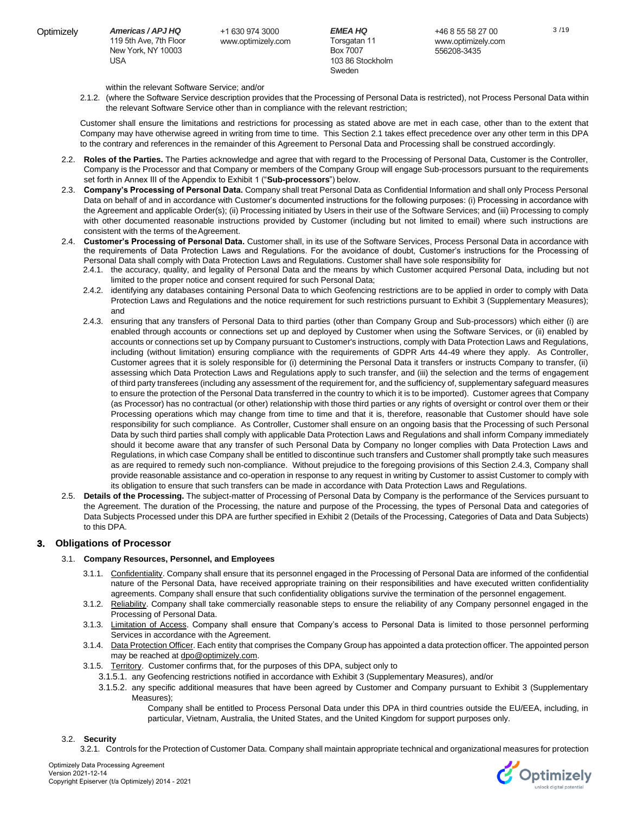+1 630 974 3000 www.optimizely.com

*EMEA HQ* Torsgatan 11 Box 7007 103 86 Stockholm Sweden

within the relevant Software Service; and/or

2.1.2. (where the Software Service description provides that the Processing of Personal Data is restricted), not Process Personal Data within the relevant Software Service other than in compliance with the relevant restriction;

Customer shall ensure the limitations and restrictions for processing as stated above are met in each case, other than to the extent that Company may have otherwise agreed in writing from time to time. This Section 2.1 takes effect precedence over any other term in this DPA to the contrary and references in the remainder of this Agreement to Personal Data and Processing shall be construed accordingly.

- 2.2. **Roles of the Parties.** The Parties acknowledge and agree that with regard to the Processing of Personal Data, Customer is the Controller, Company is the Processor and that Company or members of the Company Group will engage Sub-processors pursuant to the requirements set forth in Annex III of the Appendix to Exhibit 1 ("**Sub-processors**") below.
- 2.3. **Company's Processing of Personal Data.** Company shall treat Personal Data as Confidential Information and shall only Process Personal Data on behalf of and in accordance with Customer's documented instructions for the following purposes: (i) Processing in accordance with the Agreement and applicable Order(s); (ii) Processing initiated by Users in their use of the Software Services; and (iii) Processing to comply with other documented reasonable instructions provided by Customer (including but not limited to email) where such instructions are consistent with the terms of theAgreement.
- 2.4. **Customer's Processing of Personal Data.** Customer shall, in its use of the Software Services, Process Personal Data in accordance with the requirements of Data Protection Laws and Regulations. For the avoidance of doubt, Customer's instructions for the Processing of Personal Data shall comply with Data Protection Laws and Regulations. Customer shall have sole responsibility for
	- 2.4.1. the accuracy, quality, and legality of Personal Data and the means by which Customer acquired Personal Data, including but not limited to the proper notice and consent required for such Personal Data;
	- 2.4.2. identifying any databases containing Personal Data to which Geofencing restrictions are to be applied in order to comply with Data Protection Laws and Regulations and the notice requirement for such restrictions pursuant to Exhibit 3 (Supplementary Measures); and
	- 2.4.3. ensuring that any transfers of Personal Data to third parties (other than Company Group and Sub-processors) which either (i) are enabled through accounts or connections set up and deployed by Customer when using the Software Services, or (ii) enabled by accounts or connections set up by Company pursuant to Customer's instructions, comply with Data Protection Laws and Regulations, including (without limitation) ensuring compliance with the requirements of GDPR Arts 44-49 where they apply. As Controller, Customer agrees that it is solely responsible for (i) determining the Personal Data it transfers or instructs Company to transfer, (ii) assessing which Data Protection Laws and Regulations apply to such transfer, and (iii) the selection and the terms of engagement of third party transferees (including any assessment of the requirement for, and the sufficiency of, supplementary safeguard measures to ensure the protection of the Personal Data transferred in the country to which it is to be imported). Customer agrees that Company (as Processor) has no contractual (or other) relationship with those third parties or any rights of oversight or control over them or their Processing operations which may change from time to time and that it is, therefore, reasonable that Customer should have sole responsibility for such compliance. As Controller, Customer shall ensure on an ongoing basis that the Processing of such Personal Data by such third parties shall comply with applicable Data Protection Laws and Regulations and shall inform Company immediately should it become aware that any transfer of such Personal Data by Company no longer complies with Data Protection Laws and Regulations, in which case Company shall be entitled to discontinue such transfers and Customer shall promptly take such measures as are required to remedy such non-compliance. Without prejudice to the foregoing provisions of this Section 2.4.3, Company shall provide reasonable assistance and co-operation in response to any request in writing by Customer to assist Customer to comply with its obligation to ensure that such transfers can be made in accordance with Data Protection Laws and Regulations.
- 2.5. **Details of the Processing.** The subject-matter of Processing of Personal Data by Company is the performance of the Services pursuant to the Agreement. The duration of the Processing, the nature and purpose of the Processing, the types of Personal Data and categories of Data Subjects Processed under this DPA are further specified in Exhibit 2 (Details of the Processing, Categories of Data and Data Subjects) to this DPA.

# 3. **Obligations of Processor**

## 3.1. **Company Resources, Personnel, and Employees**

- 3.1.1. Confidentiality. Company shall ensure that its personnel engaged in the Processing of Personal Data are informed of the confidential nature of the Personal Data, have received appropriate training on their responsibilities and have executed written confidentiality agreements. Company shall ensure that such confidentiality obligations survive the termination of the personnel engagement.
- 3.1.2. Reliability. Company shall take commercially reasonable steps to ensure the reliability of any Company personnel engaged in the Processing of Personal Data.
- 3.1.3. Limitation of Access. Company shall ensure that Company's access to Personal Data is limited to those personnel performing Services in accordance with the Agreement.
- 3.1.4. Data Protection Officer. Each entity that comprises the Company Group has appointed a data protection officer. The appointed person may be reached at [dpo@optimizely.com.](mailto:dpo@optimizely.com)
- 3.1.5. Territory. Customer confirms that, for the purposes of this DPA, subject only to
	- 3.1.5.1. any Geofencing restrictions notified in accordance with Exhibit 3 (Supplementary Measures), and/or
	- 3.1.5.2. any specific additional measures that have been agreed by Customer and Company pursuant to Exhibit 3 (Supplementary Measures);
		- Company shall be entitled to Process Personal Data under this DPA in third countries outside the EU/EEA, including, in particular, Vietnam, Australia, the United States, and the United Kingdom for support purposes only.

#### 3.2. **Security**

3.2.1. Controls for the Protection of Customer Data. Company shall maintain appropriate technical and organizational measures for protection

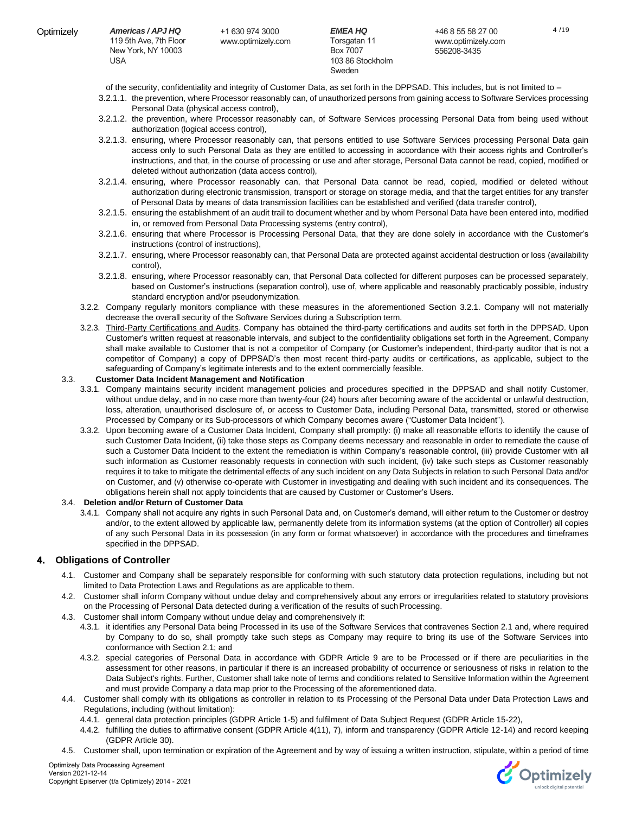+1 630 974 3000 www.optimizely.com

*EMEA HQ* Torsgatan 11 Box 7007 103 86 Stockholm Sweden

- of the security, confidentiality and integrity of Customer Data, as set forth in the DPPSAD. This includes, but is not limited to –
- 3.2.1.1. the prevention, where Processor reasonably can, of unauthorized persons from gaining access to Software Services processing Personal Data (physical access control),
- 3.2.1.2. the prevention, where Processor reasonably can, of Software Services processing Personal Data from being used without authorization (logical access control),
- 3.2.1.3. ensuring, where Processor reasonably can, that persons entitled to use Software Services processing Personal Data gain access only to such Personal Data as they are entitled to accessing in accordance with their access rights and Controller's instructions, and that, in the course of processing or use and after storage, Personal Data cannot be read, copied, modified or deleted without authorization (data access control),
- 3.2.1.4. ensuring, where Processor reasonably can, that Personal Data cannot be read, copied, modified or deleted without authorization during electronic transmission, transport or storage on storage media, and that the target entities for any transfer of Personal Data by means of data transmission facilities can be established and verified (data transfer control),
- 3.2.1.5. ensuring the establishment of an audit trail to document whether and by whom Personal Data have been entered into, modified in, or removed from Personal Data Processing systems (entry control),
- 3.2.1.6. ensuring that where Processor is Processing Personal Data, that they are done solely in accordance with the Customer's instructions (control of instructions),
- 3.2.1.7. ensuring, where Processor reasonably can, that Personal Data are protected against accidental destruction or loss (availability control),
- 3.2.1.8. ensuring, where Processor reasonably can, that Personal Data collected for different purposes can be processed separately, based on Customer's instructions (separation control), use of, where applicable and reasonably practicably possible, industry standard encryption and/or pseudonymization.
- 3.2.2. Company regularly monitors compliance with these measures in the aforementioned Section 3.2.1. Company will not materially decrease the overall security of the Software Services during a Subscription term.
- 3.2.3. Third-Party Certifications and Audits. Company has obtained the third-party certifications and audits set forth in the DPPSAD. Upon Customer's written request at reasonable intervals, and subject to the confidentiality obligations set forth in the Agreement, Company shall make available to Customer that is not a competitor of Company (or Customer's independent, third-party auditor that is not a competitor of Company) a copy of DPPSAD's then most recent third-party audits or certifications, as applicable, subject to the safeguarding of Company's legitimate interests and to the extent commercially feasible.

## 3.3. **Customer Data Incident Management and Notification**

- 3.3.1. Company maintains security incident management policies and procedures specified in the DPPSAD and shall notify Customer, without undue delay, and in no case more than twenty-four (24) hours after becoming aware of the accidental or unlawful destruction, loss, alteration, unauthorised disclosure of, or access to Customer Data, including Personal Data, transmitted, stored or otherwise Processed by Company or its Sub-processors of which Company becomes aware ("Customer Data Incident").
- 3.3.2. Upon becoming aware of a Customer Data Incident, Company shall promptly: (i) make all reasonable efforts to identify the cause of such Customer Data Incident, (ii) take those steps as Company deems necessary and reasonable in order to remediate the cause of such a Customer Data Incident to the extent the remediation is within Company's reasonable control, (iii) provide Customer with all such information as Customer reasonably requests in connection with such incident, (iv) take such steps as Customer reasonably requires it to take to mitigate the detrimental effects of any such incident on any Data Subjects in relation to such Personal Data and/or on Customer, and (v) otherwise co-operate with Customer in investigating and dealing with such incident and its consequences. The obligations herein shall not apply toincidents that are caused by Customer or Customer's Users.

#### 3.4. **Deletion and/or Return of Customer Data**

3.4.1. Company shall not acquire any rights in such Personal Data and, on Customer's demand, will either return to the Customer or destroy and/or, to the extent allowed by applicable law, permanently delete from its information systems (at the option of Controller) all copies of any such Personal Data in its possession (in any form or format whatsoever) in accordance with the procedures and timeframes specified in the DPPSAD.

## 4. **Obligations of Controller**

- 4.1. Customer and Company shall be separately responsible for conforming with such statutory data protection regulations, including but not limited to Data Protection Laws and Regulations as are applicable to them.
- 4.2. Customer shall inform Company without undue delay and comprehensively about any errors or irregularities related to statutory provisions on the Processing of Personal Data detected during a verification of the results of suchProcessing.
- 4.3. Customer shall inform Company without undue delay and comprehensively if:
	- 4.3.1. it identifies any Personal Data being Processed in its use of the Software Services that contravenes Section 2.1 and, where required by Company to do so, shall promptly take such steps as Company may require to bring its use of the Software Services into conformance with Section 2.1; and
	- 4.3.2. special categories of Personal Data in accordance with GDPR Article 9 are to be Processed or if there are peculiarities in the assessment for other reasons, in particular if there is an increased probability of occurrence or seriousness of risks in relation to the Data Subject's rights. Further, Customer shall take note of terms and conditions related to Sensitive Information within the Agreement and must provide Company a data map prior to the Processing of the aforementioned data.
- 4.4. Customer shall comply with its obligations as controller in relation to its Processing of the Personal Data under Data Protection Laws and Regulations, including (without limitation):
	- 4.4.1. general data protection principles (GDPR Article 1-5) and fulfilment of Data Subject Request (GDPR Article 15-22),
	- 4.4.2. fulfilling the duties to affirmative consent (GDPR Article 4(11), 7), inform and transparency (GDPR Article 12-14) and record keeping (GDPR Article 30).
- 4.5. Customer shall, upon termination or expiration of the Agreement and by way of issuing a written instruction, stipulate, within a period of time

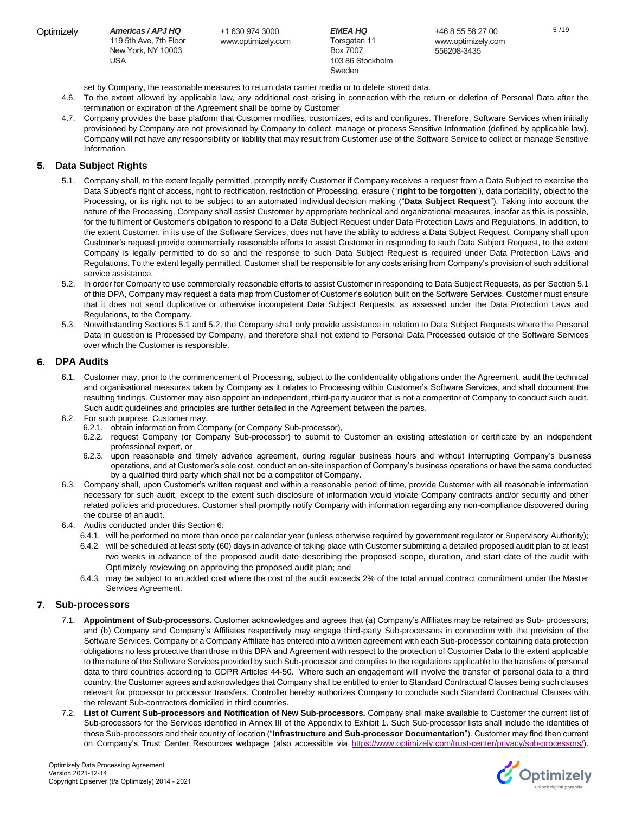**IISA** 

+1 630 974 3000 www.optimizely.com *EMEA HQ* Torsgatan 11 Box 7007 103 86 Stockholm Sweden

set by Company, the reasonable measures to return data carrier media or to delete stored data.

- 4.6. To the extent allowed by applicable law, any additional cost arising in connection with the return or deletion of Personal Data after the termination or expiration of the Agreement shall be borne by Customer
- 4.7. Company provides the base platform that Customer modifies, customizes, edits and configures. Therefore, Software Services when initially provisioned by Company are not provisioned by Company to collect, manage or process Sensitive Information (defined by applicable law). Company will not have any responsibility or liability that may result from Customer use of the Software Service to collect or manage Sensitive Information.

# 5. **Data Subject Rights**

- 5.1. Company shall, to the extent legally permitted, promptly notify Customer if Company receives a request from a Data Subject to exercise the Data Subject's right of access, right to rectification, restriction of Processing, erasure ("**right to be forgotten**"), data portability, object to the Processing, or its right not to be subject to an automated individual decision making ("**Data Subject Request**"). Taking into account the nature of the Processing, Company shall assist Customer by appropriate technical and organizational measures, insofar as this is possible, for the fulfilment of Customer's obligation to respond to a Data Subject Request under Data Protection Laws and Regulations. In addition, to the extent Customer, in its use of the Software Services, does not have the ability to address a Data Subject Request, Company shall upon Customer's request provide commercially reasonable efforts to assist Customer in responding to such Data Subject Request, to the extent Company is legally permitted to do so and the response to such Data Subject Request is required under Data Protection Laws and Regulations. To the extent legally permitted, Customer shall be responsible for any costs arising from Company's provision of such additional service assistance.
- 5.2. In order for Company to use commercially reasonable efforts to assist Customer in responding to Data Subject Requests, as per Section 5.1 of this DPA, Company may request a data map from Customer of Customer's solution built on the Software Services. Customer must ensure that it does not send duplicative or otherwise incompetent Data Subject Requests, as assessed under the Data Protection Laws and Regulations, to the Company.
- 5.3. Notwithstanding Sections 5.1 and 5.2, the Company shall only provide assistance in relation to Data Subject Requests where the Personal Data in question is Processed by Company, and therefore shall not extend to Personal Data Processed outside of the Software Services over which the Customer is responsible.

# 6. **DPA Audits**

- 6.1. Customer may, prior to the commencement of Processing, subject to the confidentiality obligations under the Agreement, audit the technical and organisational measures taken by Company as it relates to Processing within Customer's Software Services, and shall document the resulting findings. Customer may also appoint an independent, third-party auditor that is not a competitor of Company to conduct such audit. Such audit guidelines and principles are further detailed in the Agreement between the parties.
- 6.2. For such purpose, Customer may,
	- 6.2.1. obtain information from Company (or Company Sub-processor),
	- 6.2.2. request Company (or Company Sub-processor) to submit to Customer an existing attestation or certificate by an independent professional expert, or
	- 6.2.3. upon reasonable and timely advance agreement, during regular business hours and without interrupting Company's business operations, and at Customer's sole cost, conduct an on-site inspection of Company's business operations or have the same conducted by a qualified third party which shall not be a competitor of Company.
- 6.3. Company shall, upon Customer's written request and within a reasonable period of time, provide Customer with all reasonable information necessary for such audit, except to the extent such disclosure of information would violate Company contracts and/or security and other related policies and procedures. Customer shall promptly notify Company with information regarding any non-compliance discovered during the course of an audit.
- 6.4. Audits conducted under this Section 6:
	- 6.4.1. will be performed no more than once per calendar year (unless otherwise required by government regulator or Supervisory Authority);
	- 6.4.2. will be scheduled at least sixty (60) days in advance of taking place with Customer submitting a detailed proposed audit plan to at least two weeks in advance of the proposed audit date describing the proposed scope, duration, and start date of the audit with Optimizely reviewing on approving the proposed audit plan; and
	- 6.4.3. may be subject to an added cost where the cost of the audit exceeds 2% of the total annual contract commitment under the Master Services Agreement.

# 7. **Sub-processors**

- 7.1. **Appointment of Sub-processors.** Customer acknowledges and agrees that (a) Company's Affiliates may be retained as Sub- processors; and (b) Company and Company's Affiliates respectively may engage third-party Sub-processors in connection with the provision of the Software Services. Company or a Company Affiliate has entered into a written agreement with each Sub-processor containing data protection obligations no less protective than those in this DPA and Agreement with respect to the protection of Customer Data to the extent applicable to the nature of the Software Services provided by such Sub-processor and complies to the regulations applicable to the transfers of personal data to third countries according to GDPR Articles 44-50. Where such an engagement will involve the transfer of personal data to a third country, the Customer agrees and acknowledges that Company shall be entitled to enter to Standard Contractual Clauses being such clauses relevant for processor to processor transfers. Controller hereby authorizes Company to conclude such Standard Contractual Clauses with the relevant Sub-contractors domiciled in third countries.
- 7.2. **List of Current Sub-processors and Notification of New Sub-processors.** Company shall make available to Customer the current list of Sub-processors for the Services identified in Annex III of the Appendix to Exhibit 1. Such Sub-processor lists shall include the identities of those Sub-processors and their country of location ("**Infrastructure and Sub-processor Documentation**"). Customer may find then current on Company's Trust Center Resources webpage (also accessible via [https://www.optimizely.com/trust-center/privacy/sub-processors/\)](https://www.optimizely.com/trust-center/privacy/sub-processors/).

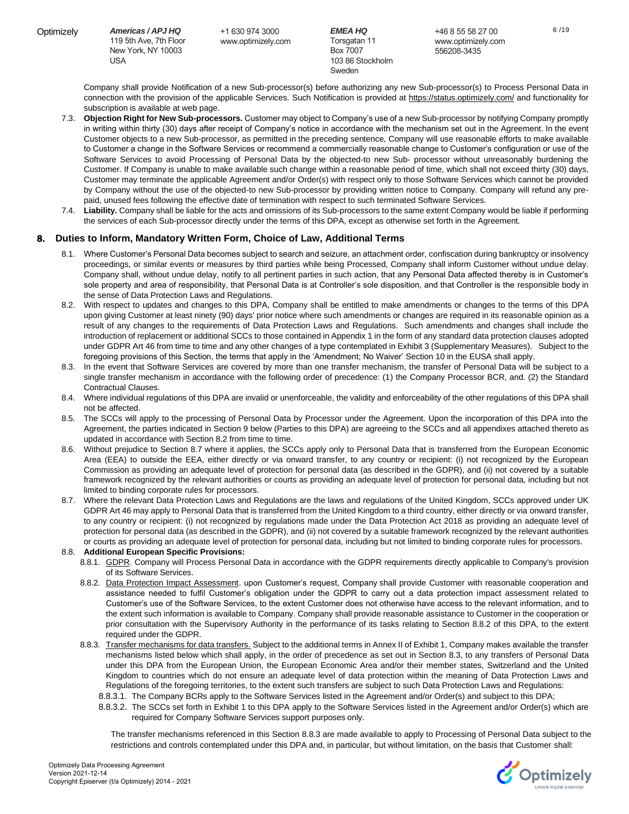+1 630 974 3000 www.optimizely.com *EMEA HQ* Torsgatan 11 Box 7007 103 86 Stockholm Sweden

Company shall provide Notification of a new Sub-processor(s) before authorizing any new Sub-processor(s) to Process Personal Data in connection with the provision of the applicable Services. Such Notification is provided at<https://status.optimizely.com/> and functionality for subscription is available at web page.

- 7.3. **Objection Right for New Sub-processors.** Customer may object to Company's use of a new Sub-processor by notifying Company promptly in writing within thirty (30) days after receipt of Company's notice in accordance with the mechanism set out in the Agreement. In the event Customer objects to a new Sub-processor, as permitted in the preceding sentence, Company will use reasonable efforts to make available to Customer a change in the Software Services or recommend a commercially reasonable change to Customer's configuration or use of the Software Services to avoid Processing of Personal Data by the objected-to new Sub- processor without unreasonably burdening the Customer. If Company is unable to make available such change within a reasonable period of time, which shall not exceed thirty (30) days, Customer may terminate the applicable Agreement and/or Order(s) with respect only to those Software Services which cannot be provided by Company without the use of the objected-to new Sub-processor by providing written notice to Company. Company will refund any prepaid, unused fees following the effective date of termination with respect to such terminated Software Services.
- 7.4. **Liability.** Company shall be liable for the acts and omissions of its Sub-processors to the same extent Company would be liable if performing the services of each Sub-processor directly under the terms of this DPA, except as otherwise set forth in the Agreement.

## 8. **Duties to Inform, Mandatory Written Form, Choice of Law, Additional Terms**

- 8.1. Where Customer's Personal Data becomes subject to search and seizure, an attachment order, confiscation during bankruptcy or insolvency proceedings, or similar events or measures by third parties while being Processed, Company shall inform Customer without undue delay. Company shall, without undue delay, notify to all pertinent parties in such action, that any Personal Data affected thereby is in Customer's sole property and area of responsibility, that Personal Data is at Controller's sole disposition, and that Controller is the responsible body in the sense of Data Protection Laws and Regulations.
- 8.2. With respect to updates and changes to this DPA, Company shall be entitled to make amendments or changes to the terms of this DPA upon giving Customer at least ninety (90) days' prior notice where such amendments or changes are required in its reasonable opinion as a result of any changes to the requirements of Data Protection Laws and Regulations. Such amendments and changes shall include the introduction of replacement or additional SCCs to those contained in Appendix 1 in the form of any standard data protection clauses adopted under GDPR Art 46 from time to time and any other changes of a type contemplated in Exhibit 3 (Supplementary Measures). Subject to the foregoing provisions of this Section, the terms that apply in the 'Amendment; No Waiver' Section 10 in the EUSA shall apply.
- 8.3. In the event that Software Services are covered by more than one transfer mechanism, the transfer of Personal Data will be subject to a single transfer mechanism in accordance with the following order of precedence: (1) the Company Processor BCR, and. (2) the Standard Contractual Clauses.
- 8.4. Where individual regulations of this DPA are invalid or unenforceable, the validity and enforceability of the other regulations of this DPA shall not be affected.
- 8.5. The SCCs will apply to the processing of Personal Data by Processor under the Agreement. Upon the incorporation of this DPA into the Agreement, the parties indicated in Section 9 below (Parties to this DPA) are agreeing to the SCCs and all appendixes attached thereto as updated in accordance with Section 8.2 from time to time.
- 8.6. Without prejudice to Section 8.7 where it applies, the SCCs apply only to Personal Data that is transferred from the European Economic Area (EEA) to outside the EEA, either directly or via onward transfer, to any country or recipient: (i) not recognized by the European Commission as providing an adequate level of protection for personal data (as described in the GDPR), and (ii) not covered by a suitable framework recognized by the relevant authorities or courts as providing an adequate level of protection for personal data, including but not limited to binding corporate rules for processors.
- 8.7. Where the relevant Data Protection Laws and Regulations are the laws and regulations of the United Kingdom, SCCs approved under UK GDPR Art 46 may apply to Personal Data that is transferred from the United Kingdom to a third country, either directly or via onward transfer, to any country or recipient: (i) not recognized by regulations made under the Data Protection Act 2018 as providing an adequate level of protection for personal data (as described in the GDPR), and (ii) not covered by a suitable framework recognized by the relevant authorities or courts as providing an adequate level of protection for personal data, including but not limited to binding corporate rules for processors.

#### 8.8. **Additional European Specific Provisions:**

- 8.8.1. GDPR. Company will Process Personal Data in accordance with the GDPR requirements directly applicable to Company's provision of its Software Services.
- 8.8.2. Data Protection Impact Assessment. upon Customer's request, Company shall provide Customer with reasonable cooperation and assistance needed to fulfil Customer's obligation under the GDPR to carry out a data protection impact assessment related to Customer's use of the Software Services, to the extent Customer does not otherwise have access to the relevant information, and to the extent such information is available to Company. Company shall provide reasonable assistance to Customer in the cooperation or prior consultation with the Supervisory Authority in the performance of its tasks relating to Section 8.8.2 of this DPA, to the extent required under the GDPR.
- 8.8.3. Transfer mechanisms for data transfers. Subject to the additional terms in Annex II of Exhibit 1, Company makes available the transfer mechanisms listed below which shall apply, in the order of precedence as set out in Section 8.3, to any transfers of Personal Data under this DPA from the European Union, the European Economic Area and/or their member states, Switzerland and the United Kingdom to countries which do not ensure an adequate level of data protection within the meaning of Data Protection Laws and Regulations of the foregoing territories, to the extent such transfers are subject to such Data Protection Laws and Regulations:
	- 8.8.3.1. The Company BCRs apply to the Software Services listed in the Agreement and/or Order(s) and subject to this DPA;
	- 8.8.3.2. The SCCs set forth in Exhibit 1 to this DPA apply to the Software Services listed in the Agreement and/or Order(s) which are required for Company Software Services support purposes only.

The transfer mechanisms referenced in this Section 8.8.3 are made available to apply to Processing of Personal Data subject to the restrictions and controls contemplated under this DPA and, in particular, but without limitation, on the basis that Customer shall:

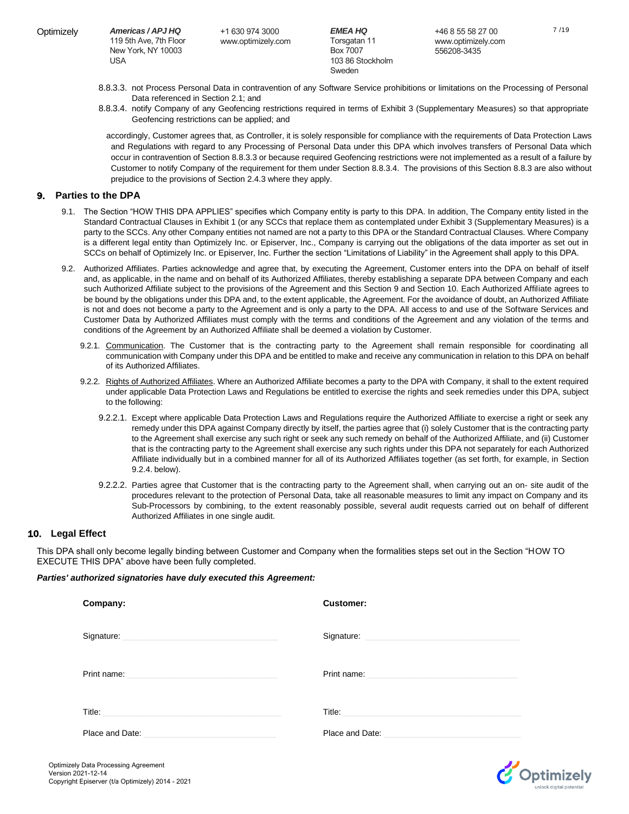+1 630 974 3000 www.optimizely.com

*EMEA HQ* Torsgatan 11 Box 7007 103 86 Stockholm Sweden

- 8.8.3.3. not Process Personal Data in contravention of any Software Service prohibitions or limitations on the Processing of Personal Data referenced in Section 2.1; and
- 8.8.3.4. notify Company of any Geofencing restrictions required in terms of Exhibit 3 (Supplementary Measures) so that appropriate Geofencing restrictions can be applied; and

accordingly, Customer agrees that, as Controller, it is solely responsible for compliance with the requirements of Data Protection Laws and Regulations with regard to any Processing of Personal Data under this DPA which involves transfers of Personal Data which occur in contravention of Section 8.8.3.3 or because required Geofencing restrictions were not implemented as a result of a failure by Customer to notify Company of the requirement for them under Section 8.8.3.4. The provisions of this Section 8.8.3 are also without prejudice to the provisions of Section 2.4.3 where they apply.

## 9. **Parties to the DPA**

- 9.1. The Section "HOW THIS DPA APPLIES" specifies which Company entity is party to this DPA. In addition, The Company entity listed in the Standard Contractual Clauses in Exhibit 1 (or any SCCs that replace them as contemplated under Exhibit 3 (Supplementary Measures) is a party to the SCCs. Any other Company entities not named are not a party to this DPA or the Standard Contractual Clauses. Where Company is a different legal entity than Optimizely Inc. or Episerver, Inc., Company is carrying out the obligations of the data importer as set out in SCCs on behalf of Optimizely Inc. or Episerver, Inc. Further the section "Limitations of Liability" in the Agreement shall apply to this DPA.
- 9.2. Authorized Affiliates. Parties acknowledge and agree that, by executing the Agreement, Customer enters into the DPA on behalf of itself and, as applicable, in the name and on behalf of its Authorized Affiliates, thereby establishing a separate DPA between Company and each such Authorized Affiliate subject to the provisions of the Agreement and this Section 9 and Section 10. Each Authorized Affiliate agrees to be bound by the obligations under this DPA and, to the extent applicable, the Agreement. For the avoidance of doubt, an Authorized Affiliate is not and does not become a party to the Agreement and is only a party to the DPA. All access to and use of the Software Services and Customer Data by Authorized Affiliates must comply with the terms and conditions of the Agreement and any violation of the terms and conditions of the Agreement by an Authorized Affiliate shall be deemed a violation by Customer.
	- 9.2.1. Communication. The Customer that is the contracting party to the Agreement shall remain responsible for coordinating all communication with Company under this DPA and be entitled to make and receive any communication in relation to this DPA on behalf of its Authorized Affiliates.
	- 9.2.2. Rights of Authorized Affiliates. Where an Authorized Affiliate becomes a party to the DPA with Company, it shall to the extent required under applicable Data Protection Laws and Regulations be entitled to exercise the rights and seek remedies under this DPA, subject to the following:
		- 9.2.2.1. Except where applicable Data Protection Laws and Regulations require the Authorized Affiliate to exercise a right or seek any remedy under this DPA against Company directly by itself, the parties agree that (i) solely Customer that is the contracting party to the Agreement shall exercise any such right or seek any such remedy on behalf of the Authorized Affiliate, and (ii) Customer that is the contracting party to the Agreement shall exercise any such rights under this DPA not separately for each Authorized Affiliate individually but in a combined manner for all of its Authorized Affiliates together (as set forth, for example, in Section 9.2.4. below).
		- 9.2.2.2. Parties agree that Customer that is the contracting party to the Agreement shall, when carrying out an on- site audit of the procedures relevant to the protection of Personal Data, take all reasonable measures to limit any impact on Company and its Sub-Processors by combining, to the extent reasonably possible, several audit requests carried out on behalf of different Authorized Affiliates in one single audit.

#### 10. **Legal Effect**

This DPA shall only become legally binding between Customer and Company when the formalities steps set out in the Section "HOW TO EXECUTE THIS DPA" above have been fully completed.

#### *Parties' authorized signatories have duly executed this Agreement:*

| Company:        | <b>Customer:</b>                 |
|-----------------|----------------------------------|
| Signature:      | Signature:                       |
| Print name:     | Print name:                      |
| Title:          | Title: The Contract of the Title |
| Place and Date: | Place and Date:                  |

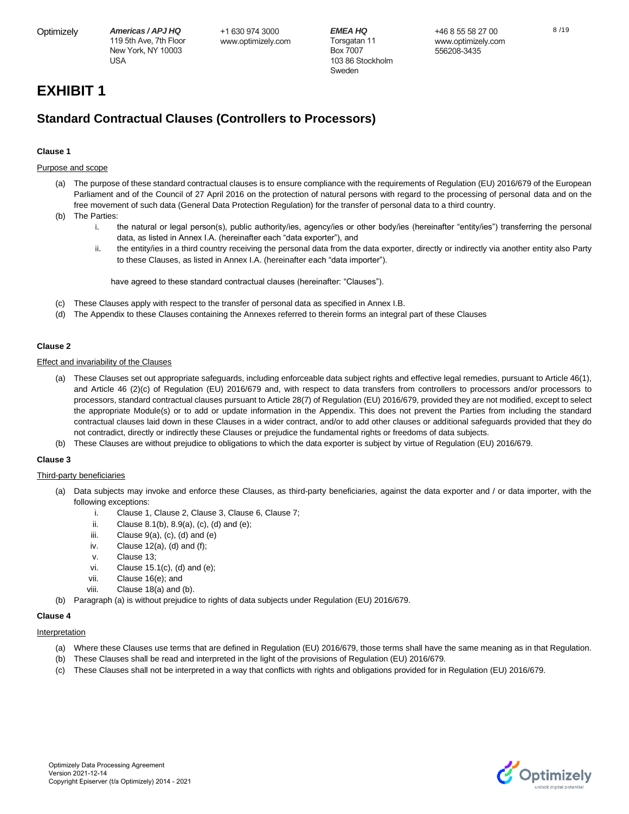+1 630 974 3000 www.optimizely.com

*EMEA HQ* Torsgatan 11 Box 7007 103 86 Stockholm Sweden

+46 8 55 58 27 00 www.optimizely.com 556208-3435

**EXHIBIT 1**

# **Standard Contractual Clauses (Controllers to Processors)**

## **Clause 1**

### Purpose and scope

- (a) The purpose of these standard contractual clauses is to ensure compliance with the requirements of Regulation (EU) 2016/679 of the European Parliament and of the Council of 27 April 2016 on the protection of natural persons with regard to the processing of personal data and on the free movement of such data (General Data Protection Regulation) for the transfer of personal data to a third country.
- (b) The Parties:
	- i. the natural or legal person(s), public authority/ies, agency/ies or other body/ies (hereinafter "entity/ies") transferring the personal data, as listed in Annex I.A. (hereinafter each "data exporter"), and
	- ii. the entity/ies in a third country receiving the personal data from the data exporter, directly or indirectly via another entity also Party to these Clauses, as listed in Annex I.A. (hereinafter each "data importer").

have agreed to these standard contractual clauses (hereinafter: "Clauses").

- (c) These Clauses apply with respect to the transfer of personal data as specified in Annex I.B.
- (d) The Appendix to these Clauses containing the Annexes referred to therein forms an integral part of these Clauses

### **Clause 2**

### **Effect and invariability of the Clauses**

- (a) These Clauses set out appropriate safeguards, including enforceable data subject rights and effective legal remedies, pursuant to Article 46(1), and Article 46 (2)(c) of Regulation (EU) 2016/679 and, with respect to data transfers from controllers to processors and/or processors to processors, standard contractual clauses pursuant to Article 28(7) of Regulation (EU) 2016/679, provided they are not modified, except to select the appropriate Module(s) or to add or update information in the Appendix. This does not prevent the Parties from including the standard contractual clauses laid down in these Clauses in a wider contract, and/or to add other clauses or additional safeguards provided that they do not contradict, directly or indirectly these Clauses or prejudice the fundamental rights or freedoms of data subjects.
- (b) These Clauses are without prejudice to obligations to which the data exporter is subject by virtue of Regulation (EU) 2016/679.

#### **Clause 3**

#### Third-party beneficiaries

- (a) Data subjects may invoke and enforce these Clauses, as third-party beneficiaries, against the data exporter and / or data importer, with the following exceptions:
	- i. Clause 1, Clause 2, Clause 3, Clause 6, Clause 7;
	- ii. Clause 8.1(b), 8.9(a), (c), (d) and (e);
	- iii. Clause  $9(a)$ ,  $(c)$ ,  $(d)$  and  $(e)$
	- iv. Clause  $12(a)$ ,  $(d)$  and  $(f)$ ;
	- v. Clause 13;
	- vi. Clause 15.1(c), (d) and (e);
	- vii. Clause 16(e); and
	- viii. Clause 18(a) and (b).
- (b) Paragraph (a) is without prejudice to rights of data subjects under Regulation (EU) 2016/679.

#### **Clause 4**

#### Interpretation

- (a) Where these Clauses use terms that are defined in Regulation (EU) 2016/679, those terms shall have the same meaning as in that Regulation.
- (b) These Clauses shall be read and interpreted in the light of the provisions of Regulation (EU) 2016/679.
- (c) These Clauses shall not be interpreted in a way that conflicts with rights and obligations provided for in Regulation (EU) 2016/679.

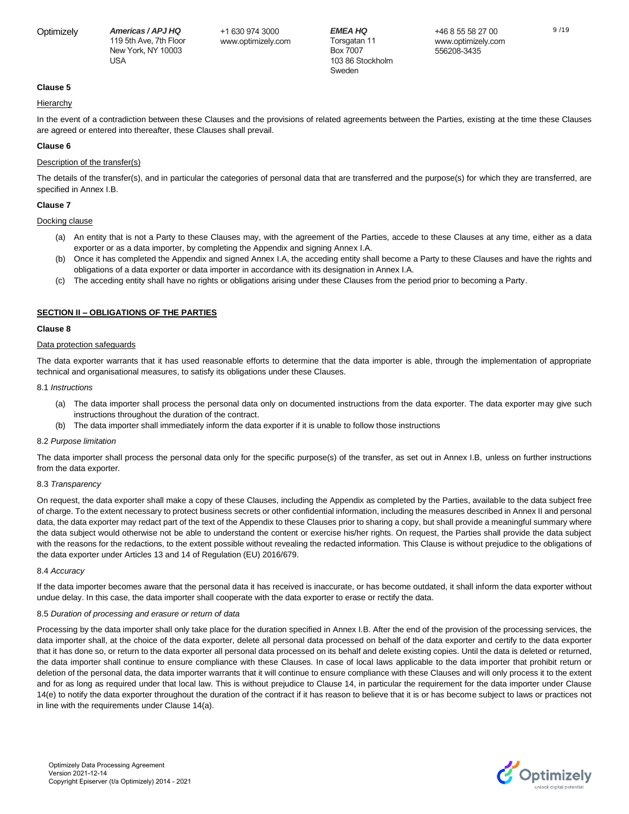+1 630 974 3000 www.optimizely.com *EMEA HQ* Torsgatan 11 Box 7007 103 86 Stockholm Sweden

9 /19

## **Clause 5**

#### Hierarchy

In the event of a contradiction between these Clauses and the provisions of related agreements between the Parties, existing at the time these Clauses are agreed or entered into thereafter, these Clauses shall prevail.

#### **Clause 6**

#### Description of the transfer(s)

The details of the transfer(s), and in particular the categories of personal data that are transferred and the purpose(s) for which they are transferred, are specified in Annex I.B.

#### **Clause 7**

Docking clause

- (a) An entity that is not a Party to these Clauses may, with the agreement of the Parties, accede to these Clauses at any time, either as a data exporter or as a data importer, by completing the Appendix and signing Annex I.A.
- (b) Once it has completed the Appendix and signed Annex I.A, the acceding entity shall become a Party to these Clauses and have the rights and obligations of a data exporter or data importer in accordance with its designation in Annex I.A.
- (c) The acceding entity shall have no rights or obligations arising under these Clauses from the period prior to becoming a Party.

## **SECTION II – OBLIGATIONS OF THE PARTIES**

#### **Clause 8**

#### Data protection safeguards

The data exporter warrants that it has used reasonable efforts to determine that the data importer is able, through the implementation of appropriate technical and organisational measures, to satisfy its obligations under these Clauses.

#### 8.1 *Instructions*

- (a) The data importer shall process the personal data only on documented instructions from the data exporter. The data exporter may give such instructions throughout the duration of the contract.
- (b) The data importer shall immediately inform the data exporter if it is unable to follow those instructions

#### 8.2 *Purpose limitation*

The data importer shall process the personal data only for the specific purpose(s) of the transfer, as set out in Annex I.B, unless on further instructions from the data exporter.

#### 8.3 *Transparency*

On request, the data exporter shall make a copy of these Clauses, including the Appendix as completed by the Parties, available to the data subject free of charge. To the extent necessary to protect business secrets or other confidential information, including the measures described in Annex II and personal data, the data exporter may redact part of the text of the Appendix to these Clauses prior to sharing a copy, but shall provide a meaningful summary where the data subject would otherwise not be able to understand the content or exercise his/her rights. On request, the Parties shall provide the data subject with the reasons for the redactions, to the extent possible without revealing the redacted information. This Clause is without prejudice to the obligations of the data exporter under Articles 13 and 14 of Regulation (EU) 2016/679.

#### 8.4 *Accuracy*

If the data importer becomes aware that the personal data it has received is inaccurate, or has become outdated, it shall inform the data exporter without undue delay. In this case, the data importer shall cooperate with the data exporter to erase or rectify the data.

#### 8.5 *Duration of processing and erasure or return of data*

Processing by the data importer shall only take place for the duration specified in Annex I.B. After the end of the provision of the processing services, the data importer shall, at the choice of the data exporter, delete all personal data processed on behalf of the data exporter and certify to the data exporter that it has done so, or return to the data exporter all personal data processed on its behalf and delete existing copies. Until the data is deleted or returned, the data importer shall continue to ensure compliance with these Clauses. In case of local laws applicable to the data importer that prohibit return or deletion of the personal data, the data importer warrants that it will continue to ensure compliance with these Clauses and will only process it to the extent and for as long as required under that local law. This is without prejudice to Clause 14, in particular the requirement for the data importer under Clause 14(e) to notify the data exporter throughout the duration of the contract if it has reason to believe that it is or has become subject to laws or practices not in line with the requirements under Clause 14(a).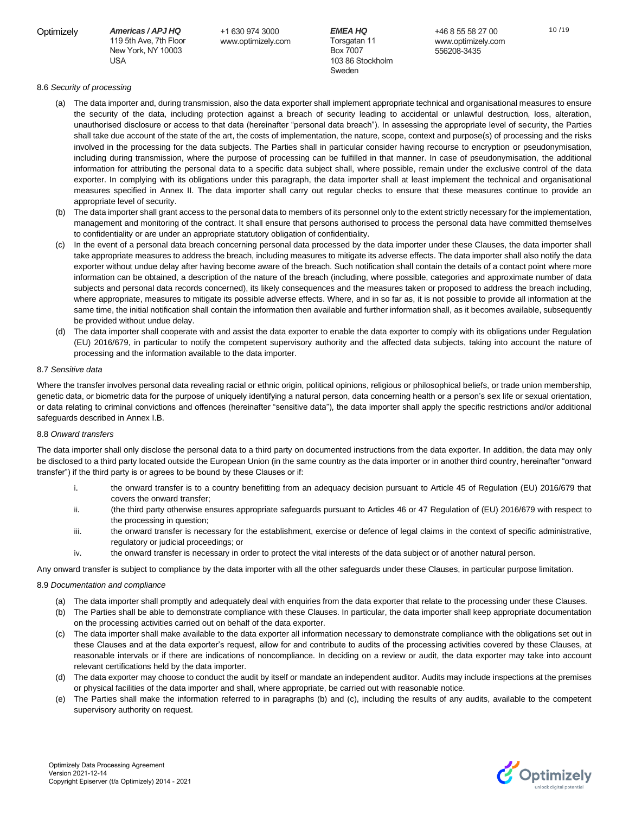+1 630 974 3000 www.optimizely.com

*EMEA HQ* Torsgatan 11 Box 7007 103 86 Stockholm Sweden

+46 8 55 58 27 00 www.optimizely.com 556208-3435

- (a) The data importer and, during transmission, also the data exporter shall implement appropriate technical and organisational measures to ensure the security of the data, including protection against a breach of security leading to accidental or unlawful destruction, loss, alteration, unauthorised disclosure or access to that data (hereinafter "personal data breach"). In assessing the appropriate level of security, the Parties shall take due account of the state of the art, the costs of implementation, the nature, scope, context and purpose(s) of processing and the risks involved in the processing for the data subjects. The Parties shall in particular consider having recourse to encryption or pseudonymisation, including during transmission, where the purpose of processing can be fulfilled in that manner. In case of pseudonymisation, the additional information for attributing the personal data to a specific data subject shall, where possible, remain under the exclusive control of the data exporter. In complying with its obligations under this paragraph, the data importer shall at least implement the technical and organisational measures specified in Annex II. The data importer shall carry out regular checks to ensure that these measures continue to provide an appropriate level of security.
- (b) The data importer shall grant access to the personal data to members of its personnel only to the extent strictly necessary for the implementation, management and monitoring of the contract. It shall ensure that persons authorised to process the personal data have committed themselves to confidentiality or are under an appropriate statutory obligation of confidentiality.
- (c) In the event of a personal data breach concerning personal data processed by the data importer under these Clauses, the data importer shall take appropriate measures to address the breach, including measures to mitigate its adverse effects. The data importer shall also notify the data exporter without undue delay after having become aware of the breach. Such notification shall contain the details of a contact point where more information can be obtained, a description of the nature of the breach (including, where possible, categories and approximate number of data subjects and personal data records concerned), its likely consequences and the measures taken or proposed to address the breach including, where appropriate, measures to mitigate its possible adverse effects. Where, and in so far as, it is not possible to provide all information at the same time, the initial notification shall contain the information then available and further information shall, as it becomes available, subsequently be provided without undue delay.
- (d) The data importer shall cooperate with and assist the data exporter to enable the data exporter to comply with its obligations under Regulation (EU) 2016/679, in particular to notify the competent supervisory authority and the affected data subjects, taking into account the nature of processing and the information available to the data importer.

#### 8.7 *Sensitive data*

Where the transfer involves personal data revealing racial or ethnic origin, political opinions, religious or philosophical beliefs, or trade union membership, genetic data, or biometric data for the purpose of uniquely identifying a natural person, data concerning health or a person's sex life or sexual orientation, or data relating to criminal convictions and offences (hereinafter "sensitive data"), the data importer shall apply the specific restrictions and/or additional safeguards described in Annex I.B.

#### 8.8 *Onward transfers*

The data importer shall only disclose the personal data to a third party on documented instructions from the data exporter. In addition, the data may only be disclosed to a third party located outside the European Union (in the same country as the data importer or in another third country, hereinafter "onward transfer") if the third party is or agrees to be bound by these Clauses or if:

- i. the onward transfer is to a country benefitting from an adequacy decision pursuant to Article 45 of Regulation (EU) 2016/679 that covers the onward transfer;
- ii. (the third party otherwise ensures appropriate safeguards pursuant to Articles 46 or 47 Regulation of (EU) 2016/679 with respect to the processing in question;
- iii. the onward transfer is necessary for the establishment, exercise or defence of legal claims in the context of specific administrative, regulatory or judicial proceedings; or
- iv. the onward transfer is necessary in order to protect the vital interests of the data subject or of another natural person.

Any onward transfer is subject to compliance by the data importer with all the other safeguards under these Clauses, in particular purpose limitation.

#### 8.9 *Documentation and compliance*

- (a) The data importer shall promptly and adequately deal with enquiries from the data exporter that relate to the processing under these Clauses.
- (b) The Parties shall be able to demonstrate compliance with these Clauses. In particular, the data importer shall keep appropriate documentation on the processing activities carried out on behalf of the data exporter.
- (c) The data importer shall make available to the data exporter all information necessary to demonstrate compliance with the obligations set out in these Clauses and at the data exporter's request, allow for and contribute to audits of the processing activities covered by these Clauses, at reasonable intervals or if there are indications of noncompliance. In deciding on a review or audit, the data exporter may take into account relevant certifications held by the data importer.
- (d) The data exporter may choose to conduct the audit by itself or mandate an independent auditor. Audits may include inspections at the premises or physical facilities of the data importer and shall, where appropriate, be carried out with reasonable notice.
- (e) The Parties shall make the information referred to in paragraphs (b) and (c), including the results of any audits, available to the competent supervisory authority on request.



10 /19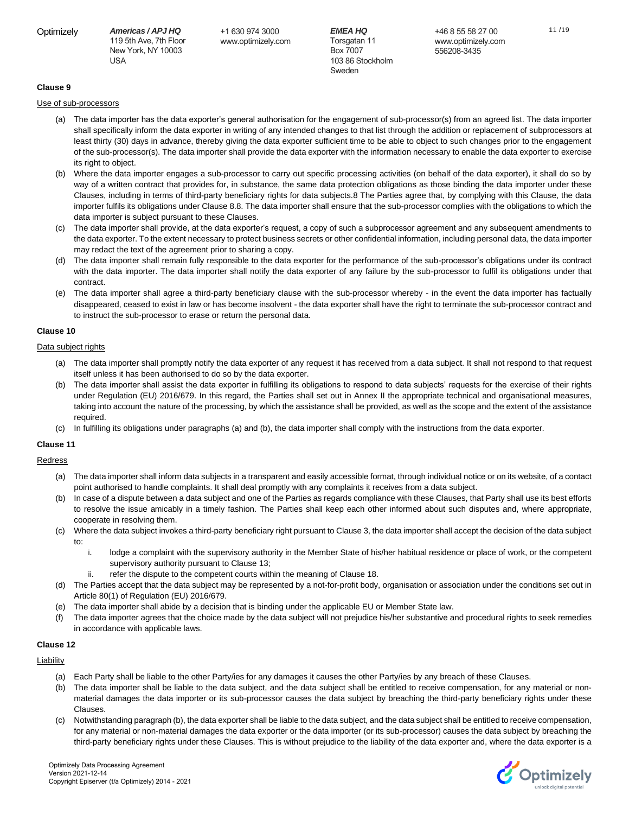+1 630 974 3000 www.optimizely.com

*EMEA HQ* Torsgatan 11 Box 7007 103 86 Stockholm Sweden

+46 8 55 58 27 00 www.optimizely.com 556208-3435

11 /19

#### **Clause 9**

#### Use of sub-processors

- (a) The data importer has the data exporter's general authorisation for the engagement of sub-processor(s) from an agreed list. The data importer shall specifically inform the data exporter in writing of any intended changes to that list through the addition or replacement of subprocessors at least thirty (30) days in advance, thereby giving the data exporter sufficient time to be able to object to such changes prior to the engagement of the sub-processor(s). The data importer shall provide the data exporter with the information necessary to enable the data exporter to exercise its right to object.
- (b) Where the data importer engages a sub-processor to carry out specific processing activities (on behalf of the data exporter), it shall do so by way of a written contract that provides for, in substance, the same data protection obligations as those binding the data importer under these Clauses, including in terms of third-party beneficiary rights for data subjects.8 The Parties agree that, by complying with this Clause, the data importer fulfils its obligations under Clause 8.8. The data importer shall ensure that the sub-processor complies with the obligations to which the data importer is subject pursuant to these Clauses.
- (c) The data importer shall provide, at the data exporter's request, a copy of such a subprocessor agreement and any subsequent amendments to the data exporter. To the extent necessary to protect business secrets or other confidential information, including personal data, the data importer may redact the text of the agreement prior to sharing a copy.
- (d) The data importer shall remain fully responsible to the data exporter for the performance of the sub-processor's obligations under its contract with the data importer. The data importer shall notify the data exporter of any failure by the sub-processor to fulfil its obligations under that contract.
- (e) The data importer shall agree a third-party beneficiary clause with the sub-processor whereby in the event the data importer has factually disappeared, ceased to exist in law or has become insolvent - the data exporter shall have the right to terminate the sub-processor contract and to instruct the sub-processor to erase or return the personal data.

#### **Clause 10**

## Data subject rights

- (a) The data importer shall promptly notify the data exporter of any request it has received from a data subject. It shall not respond to that request itself unless it has been authorised to do so by the data exporter.
- (b) The data importer shall assist the data exporter in fulfilling its obligations to respond to data subjects' requests for the exercise of their rights under Regulation (EU) 2016/679. In this regard, the Parties shall set out in Annex II the appropriate technical and organisational measures, taking into account the nature of the processing, by which the assistance shall be provided, as well as the scope and the extent of the assistance required.
- (c) In fulfilling its obligations under paragraphs (a) and (b), the data importer shall comply with the instructions from the data exporter.

#### **Clause 11**

#### **Redress**

- (a) The data importer shall inform data subjects in a transparent and easily accessible format, through individual notice or on its website, of a contact point authorised to handle complaints. It shall deal promptly with any complaints it receives from a data subject.
- (b) In case of a dispute between a data subject and one of the Parties as regards compliance with these Clauses, that Party shall use its best efforts to resolve the issue amicably in a timely fashion. The Parties shall keep each other informed about such disputes and, where appropriate, cooperate in resolving them.
- (c) Where the data subject invokes a third-party beneficiary right pursuant to Clause 3, the data importer shall accept the decision of the data subject to:
	- i. lodge a complaint with the supervisory authority in the Member State of his/her habitual residence or place of work, or the competent supervisory authority pursuant to Clause 13;
	- ii. refer the dispute to the competent courts within the meaning of Clause 18.
- (d) The Parties accept that the data subject may be represented by a not-for-profit body, organisation or association under the conditions set out in Article 80(1) of Regulation (EU) 2016/679.
- (e) The data importer shall abide by a decision that is binding under the applicable EU or Member State law.
- (f) The data importer agrees that the choice made by the data subject will not prejudice his/her substantive and procedural rights to seek remedies in accordance with applicable laws.

#### **Clause 12**

#### **Liability**

- (a) Each Party shall be liable to the other Party/ies for any damages it causes the other Party/ies by any breach of these Clauses.
- (b) The data importer shall be liable to the data subject, and the data subject shall be entitled to receive compensation, for any material or nonmaterial damages the data importer or its sub-processor causes the data subject by breaching the third-party beneficiary rights under these Clauses.
- (c) Notwithstanding paragraph (b), the data exporter shall be liable to the data subject, and the data subject shall be entitled to receive compensation, for any material or non-material damages the data exporter or the data importer (or its sub-processor) causes the data subject by breaching the third-party beneficiary rights under these Clauses. This is without prejudice to the liability of the data exporter and, where the data exporter is a

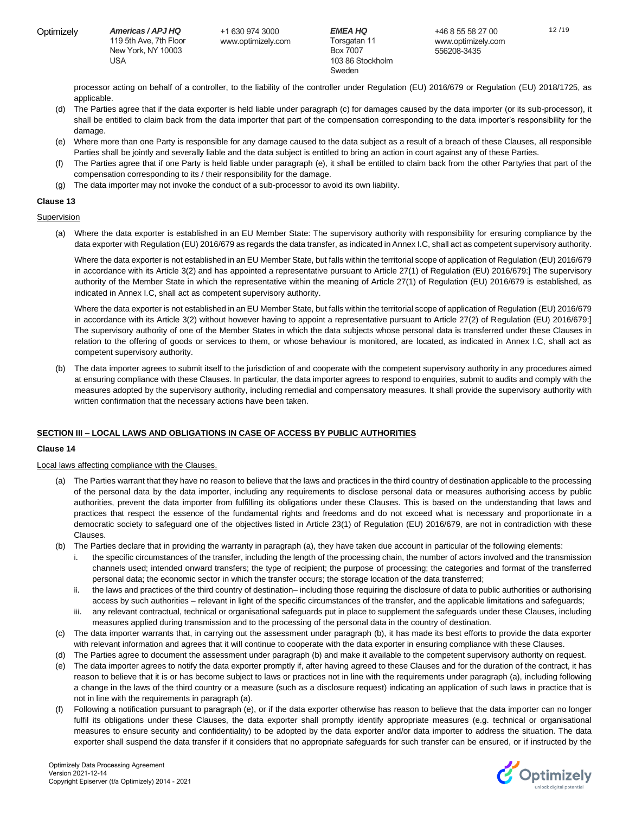+1 630 974 3000 www.optimizely.com

*EMEA HQ* Torsgatan 11 Box 7007 103 86 Stockholm Sweden

12 /19

processor acting on behalf of a controller, to the liability of the controller under Regulation (EU) 2016/679 or Regulation (EU) 2018/1725, as applicable.

- (d) The Parties agree that if the data exporter is held liable under paragraph (c) for damages caused by the data importer (or its sub-processor), it shall be entitled to claim back from the data importer that part of the compensation corresponding to the data importer's responsibility for the damage.
- (e) Where more than one Party is responsible for any damage caused to the data subject as a result of a breach of these Clauses, all responsible Parties shall be jointly and severally liable and the data subject is entitled to bring an action in court against any of these Parties.
- (f) The Parties agree that if one Party is held liable under paragraph (e), it shall be entitled to claim back from the other Party/ies that part of the compensation corresponding to its / their responsibility for the damage.
- (g) The data importer may not invoke the conduct of a sub-processor to avoid its own liability.

### **Clause 13**

Supervision

(a) Where the data exporter is established in an EU Member State: The supervisory authority with responsibility for ensuring compliance by the data exporter with Regulation (EU) 2016/679 as regards the data transfer, as indicated in Annex I.C, shall act as competent supervisory authority.

Where the data exporter is not established in an EU Member State, but falls within the territorial scope of application of Regulation (EU) 2016/679 in accordance with its Article 3(2) and has appointed a representative pursuant to Article 27(1) of Regulation (EU) 2016/679:] The supervisory authority of the Member State in which the representative within the meaning of Article 27(1) of Regulation (EU) 2016/679 is established, as indicated in Annex I.C, shall act as competent supervisory authority.

Where the data exporter is not established in an EU Member State, but falls within the territorial scope of application of Regulation (EU) 2016/679 in accordance with its Article 3(2) without however having to appoint a representative pursuant to Article 27(2) of Regulation (EU) 2016/679:] The supervisory authority of one of the Member States in which the data subjects whose personal data is transferred under these Clauses in relation to the offering of goods or services to them, or whose behaviour is monitored, are located, as indicated in Annex I.C, shall act as competent supervisory authority.

(b) The data importer agrees to submit itself to the jurisdiction of and cooperate with the competent supervisory authority in any procedures aimed at ensuring compliance with these Clauses. In particular, the data importer agrees to respond to enquiries, submit to audits and comply with the measures adopted by the supervisory authority, including remedial and compensatory measures. It shall provide the supervisory authority with written confirmation that the necessary actions have been taken.

#### **SECTION III – LOCAL LAWS AND OBLIGATIONS IN CASE OF ACCESS BY PUBLIC AUTHORITIES**

#### **Clause 14**

Local laws affecting compliance with the Clauses.

- (a) The Parties warrant that they have no reason to believe that the laws and practices in the third country of destination applicable to the processing of the personal data by the data importer, including any requirements to disclose personal data or measures authorising access by public authorities, prevent the data importer from fulfilling its obligations under these Clauses. This is based on the understanding that laws and practices that respect the essence of the fundamental rights and freedoms and do not exceed what is necessary and proportionate in a democratic society to safeguard one of the objectives listed in Article 23(1) of Regulation (EU) 2016/679, are not in contradiction with these **Clauses**
- (b) The Parties declare that in providing the warranty in paragraph (a), they have taken due account in particular of the following elements:
	- i. the specific circumstances of the transfer, including the length of the processing chain, the number of actors involved and the transmission channels used; intended onward transfers; the type of recipient; the purpose of processing; the categories and format of the transferred personal data; the economic sector in which the transfer occurs; the storage location of the data transferred;
	- ii. the laws and practices of the third country of destination– including those requiring the disclosure of data to public authorities or authorising access by such authorities – relevant in light of the specific circumstances of the transfer, and the applicable limitations and safeguards;
	- iii. any relevant contractual, technical or organisational safeguards put in place to supplement the safeguards under these Clauses, including measures applied during transmission and to the processing of the personal data in the country of destination.
- (c) The data importer warrants that, in carrying out the assessment under paragraph (b), it has made its best efforts to provide the data exporter with relevant information and agrees that it will continue to cooperate with the data exporter in ensuring compliance with these Clauses.
- (d) The Parties agree to document the assessment under paragraph (b) and make it available to the competent supervisory authority on request.
- (e) The data importer agrees to notify the data exporter promptly if, after having agreed to these Clauses and for the duration of the contract, it has reason to believe that it is or has become subject to laws or practices not in line with the requirements under paragraph (a), including following a change in the laws of the third country or a measure (such as a disclosure request) indicating an application of such laws in practice that is not in line with the requirements in paragraph (a).
- (f) Following a notification pursuant to paragraph (e), or if the data exporter otherwise has reason to believe that the data importer can no longer fulfil its obligations under these Clauses, the data exporter shall promptly identify appropriate measures (e.g. technical or organisational measures to ensure security and confidentiality) to be adopted by the data exporter and/or data importer to address the situation. The data exporter shall suspend the data transfer if it considers that no appropriate safeguards for such transfer can be ensured, or if instructed by the

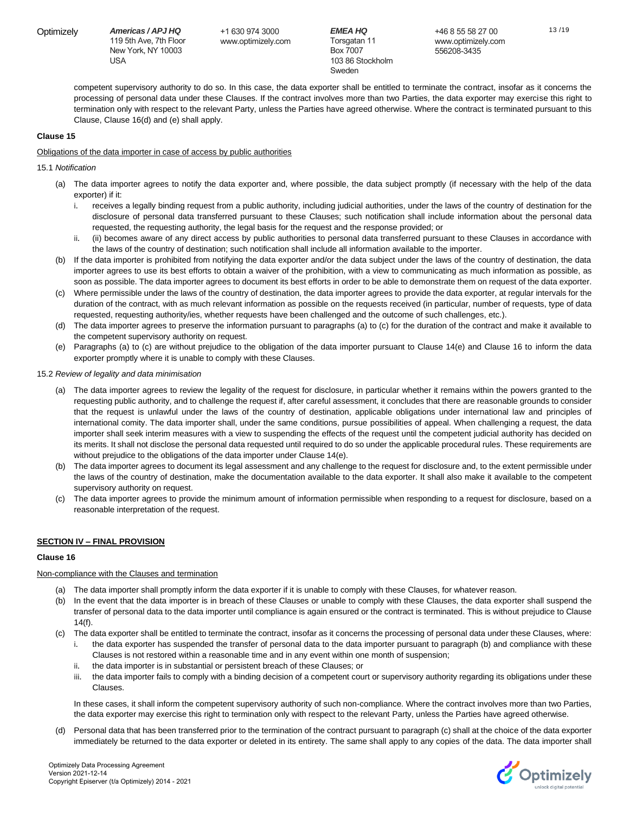+1 630 974 3000 www.optimizely.com

*EMEA HQ* Torsgatan 11 Box 7007 103 86 Stockholm Sweden

13 /19

competent supervisory authority to do so. In this case, the data exporter shall be entitled to terminate the contract, insofar as it concerns the processing of personal data under these Clauses. If the contract involves more than two Parties, the data exporter may exercise this right to termination only with respect to the relevant Party, unless the Parties have agreed otherwise. Where the contract is terminated pursuant to this Clause, Clause 16(d) and (e) shall apply.

## **Clause 15**

#### Obligations of the data importer in case of access by public authorities

#### 15.1 *Notification*

- (a) The data importer agrees to notify the data exporter and, where possible, the data subject promptly (if necessary with the help of the data exporter) if it:
	- i. receives a legally binding request from a public authority, including judicial authorities, under the laws of the country of destination for the disclosure of personal data transferred pursuant to these Clauses; such notification shall include information about the personal data requested, the requesting authority, the legal basis for the request and the response provided; or
	- ii. (ii) becomes aware of any direct access by public authorities to personal data transferred pursuant to these Clauses in accordance with the laws of the country of destination; such notification shall include all information available to the importer.
- (b) If the data importer is prohibited from notifying the data exporter and/or the data subject under the laws of the country of destination, the data importer agrees to use its best efforts to obtain a waiver of the prohibition, with a view to communicating as much information as possible, as soon as possible. The data importer agrees to document its best efforts in order to be able to demonstrate them on request of the data exporter.
- (c) Where permissible under the laws of the country of destination, the data importer agrees to provide the data exporter, at regular intervals for the duration of the contract, with as much relevant information as possible on the requests received (in particular, number of requests, type of data requested, requesting authority/ies, whether requests have been challenged and the outcome of such challenges, etc.).
- (d) The data importer agrees to preserve the information pursuant to paragraphs (a) to (c) for the duration of the contract and make it available to the competent supervisory authority on request.
- (e) Paragraphs (a) to (c) are without prejudice to the obligation of the data importer pursuant to Clause 14(e) and Clause 16 to inform the data exporter promptly where it is unable to comply with these Clauses.

#### 15.2 *Review of legality and data minimisation*

- (a) The data importer agrees to review the legality of the request for disclosure, in particular whether it remains within the powers granted to the requesting public authority, and to challenge the request if, after careful assessment, it concludes that there are reasonable grounds to consider that the request is unlawful under the laws of the country of destination, applicable obligations under international law and principles of international comity. The data importer shall, under the same conditions, pursue possibilities of appeal. When challenging a request, the data importer shall seek interim measures with a view to suspending the effects of the request until the competent judicial authority has decided on its merits. It shall not disclose the personal data requested until required to do so under the applicable procedural rules. These requirements are without prejudice to the obligations of the data importer under Clause 14(e).
- (b) The data importer agrees to document its legal assessment and any challenge to the request for disclosure and, to the extent permissible under the laws of the country of destination, make the documentation available to the data exporter. It shall also make it available to the competent supervisory authority on request.
- (c) The data importer agrees to provide the minimum amount of information permissible when responding to a request for disclosure, based on a reasonable interpretation of the request.

#### **SECTION IV – FINAL PROVISION**

#### **Clause 16**

#### Non-compliance with the Clauses and termination

- (a) The data importer shall promptly inform the data exporter if it is unable to comply with these Clauses, for whatever reason.
- (b) In the event that the data importer is in breach of these Clauses or unable to comply with these Clauses, the data exporter shall suspend the transfer of personal data to the data importer until compliance is again ensured or the contract is terminated. This is without prejudice to Clause 14(f).
- (c) The data exporter shall be entitled to terminate the contract, insofar as it concerns the processing of personal data under these Clauses, where:
	- i. the data exporter has suspended the transfer of personal data to the data importer pursuant to paragraph (b) and compliance with these Clauses is not restored within a reasonable time and in any event within one month of suspension;
	- ii. the data importer is in substantial or persistent breach of these Clauses; or
	- iii. the data importer fails to comply with a binding decision of a competent court or supervisory authority regarding its obligations under these Clauses.

In these cases, it shall inform the competent supervisory authority of such non-compliance. Where the contract involves more than two Parties, the data exporter may exercise this right to termination only with respect to the relevant Party, unless the Parties have agreed otherwise.

(d) Personal data that has been transferred prior to the termination of the contract pursuant to paragraph (c) shall at the choice of the data exporter immediately be returned to the data exporter or deleted in its entirety. The same shall apply to any copies of the data. The data importer shall

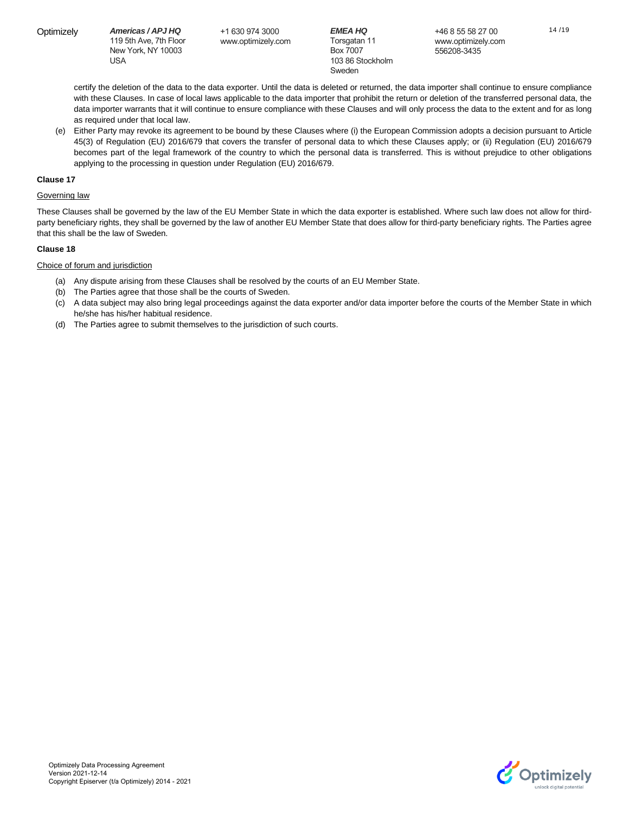+1 630 974 3000 www.optimizely.com

*EMEA HQ* Torsgatan 11 Box 7007 103 86 Stockholm Sweden

14 /19

certify the deletion of the data to the data exporter. Until the data is deleted or returned, the data importer shall continue to ensure compliance with these Clauses. In case of local laws applicable to the data importer that prohibit the return or deletion of the transferred personal data, the data importer warrants that it will continue to ensure compliance with these Clauses and will only process the data to the extent and for as long as required under that local law.

(e) Either Party may revoke its agreement to be bound by these Clauses where (i) the European Commission adopts a decision pursuant to Article 45(3) of Regulation (EU) 2016/679 that covers the transfer of personal data to which these Clauses apply; or (ii) Regulation (EU) 2016/679 becomes part of the legal framework of the country to which the personal data is transferred. This is without prejudice to other obligations applying to the processing in question under Regulation (EU) 2016/679.

## **Clause 17**

## Governing law

These Clauses shall be governed by the law of the EU Member State in which the data exporter is established. Where such law does not allow for thirdparty beneficiary rights, they shall be governed by the law of another EU Member State that does allow for third-party beneficiary rights. The Parties agree that this shall be the law of Sweden.

## **Clause 18**

### Choice of forum and jurisdiction

- (a) Any dispute arising from these Clauses shall be resolved by the courts of an EU Member State.
- (b) The Parties agree that those shall be the courts of Sweden.
- (c) A data subject may also bring legal proceedings against the data exporter and/or data importer before the courts of the Member State in which he/she has his/her habitual residence.
- (d) The Parties agree to submit themselves to the jurisdiction of such courts.

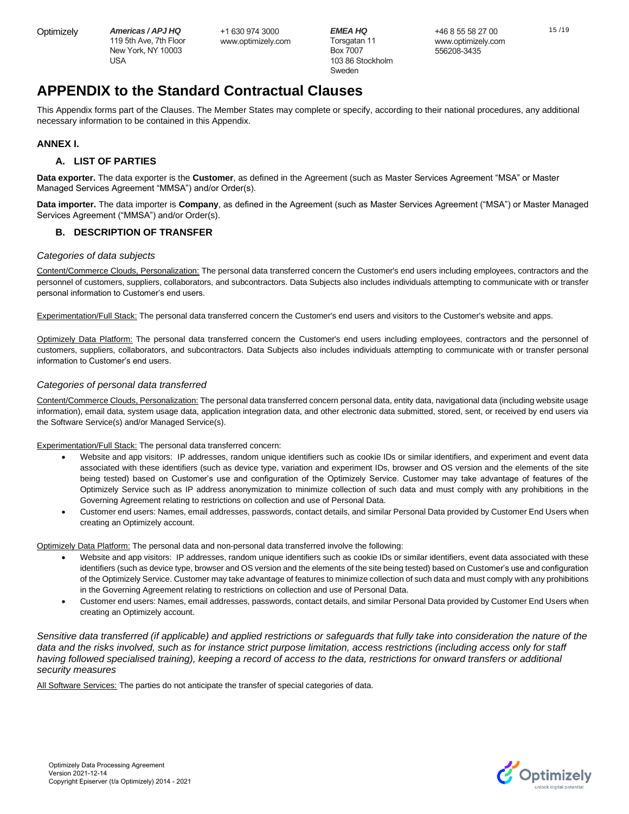+1 630 974 3000 www.optimizely.com *EMEA HQ* Torsgatan 11 Box 7007 103 86 Stockholm Sweden

15 /19

# **APPENDIX to the Standard Contractual Clauses**

This Appendix forms part of the Clauses. The Member States may complete or specify, according to their national procedures, any additional necessary information to be contained in this Appendix.

# **ANNEX I.**

# **A. LIST OF PARTIES**

**Data exporter.** The data exporter is the **Customer**, as defined in the Agreement (such as Master Services Agreement "MSA" or Master Managed Services Agreement "MMSA") and/or Order(s).

**Data importer.** The data importer is **Company**, as defined in the Agreement (such as Master Services Agreement ("MSA") or Master Managed Services Agreement ("MMSA") and/or Order(s).

# **B. DESCRIPTION OF TRANSFER**

## *Categories of data subjects*

Content/Commerce Clouds, Personalization: The personal data transferred concern the Customer's end users including employees, contractors and the personnel of customers, suppliers, collaborators, and subcontractors. Data Subjects also includes individuals attempting to communicate with or transfer personal information to Customer's end users.

Experimentation/Full Stack: The personal data transferred concern the Customer's end users and visitors to the Customer's website and apps.

Optimizely Data Platform: The personal data transferred concern the Customer's end users including employees, contractors and the personnel of customers, suppliers, collaborators, and subcontractors. Data Subjects also includes individuals attempting to communicate with or transfer personal information to Customer's end users.

## *Categories of personal data transferred*

Content/Commerce Clouds, Personalization: The personal data transferred concern personal data, entity data, navigational data (including website usage information), email data, system usage data, application integration data, and other electronic data submitted, stored, sent, or received by end users via the Software Service(s) and/or Managed Service(s).

Experimentation/Full Stack: The personal data transferred concern:

- Website and app visitors: IP addresses, random unique identifiers such as cookie IDs or similar identifiers, and experiment and event data associated with these identifiers (such as device type, variation and experiment IDs, browser and OS version and the elements of the site being tested) based on Customer's use and configuration of the Optimizely Service. Customer may take advantage of features of the Optimizely Service such as IP address anonymization to minimize collection of such data and must comply with any prohibitions in the Governing Agreement relating to restrictions on collection and use of Personal Data.
- Customer end users: Names, email addresses, passwords, contact details, and similar Personal Data provided by Customer End Users when creating an Optimizely account.

Optimizely Data Platform: The personal data and non-personal data transferred involve the following:

- Website and app visitors: IP addresses, random unique identifiers such as cookie IDs or similar identifiers, event data associated with these identifiers (such as device type, browser and OS version and the elements of the site being tested) based on Customer's use and configuration of the Optimizely Service. Customer may take advantage of features to minimize collection of such data and must comply with any prohibitions in the Governing Agreement relating to restrictions on collection and use of Personal Data.
- Customer end users: Names, email addresses, passwords, contact details, and similar Personal Data provided by Customer End Users when creating an Optimizely account.

*Sensitive data transferred (if applicable) and applied restrictions or safeguards that fully take into consideration the nature of the data and the risks involved, such as for instance strict purpose limitation, access restrictions (including access only for staff*  having followed specialised training), keeping a record of access to the data, restrictions for onward transfers or additional *security measures*

All Software Services: The parties do not anticipate the transfer of special categories of data.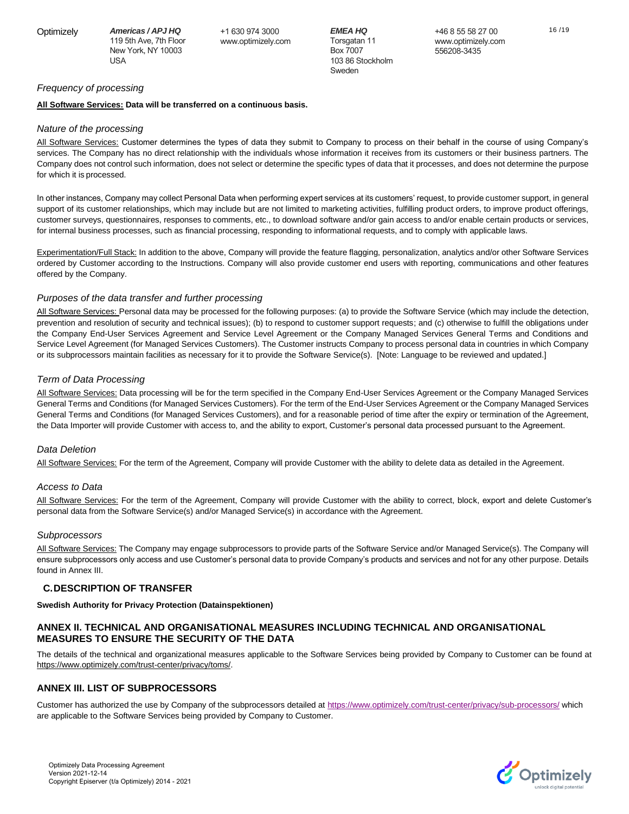+1 630 974 3000 www.optimizely.com *EMEA HQ* Torsgatan 11 Box 7007 103 86 Stockholm Sweden

+46 8 55 58 27 00 www.optimizely.com 556208-3435

*Frequency of processing*

#### **All Software Services: Data will be transferred on a continuous basis.**

## *Nature of the processing*

All Software Services: Customer determines the types of data they submit to Company to process on their behalf in the course of using Company's services. The Company has no direct relationship with the individuals whose information it receives from its customers or their business partners. The Company does not control such information, does not select or determine the specific types of data that it processes, and does not determine the purpose for which it is processed.

In other instances, Company may collect Personal Data when performing expert services at its customers' request, to provide customer support, in general support of its customer relationships, which may include but are not limited to marketing activities, fulfilling product orders, to improve product offerings, customer surveys, questionnaires, responses to comments, etc., to download software and/or gain access to and/or enable certain products or services, for internal business processes, such as financial processing, responding to informational requests, and to comply with applicable laws.

Experimentation/Full Stack: In addition to the above, Company will provide the feature flagging, personalization, analytics and/or other Software Services ordered by Customer according to the Instructions. Company will also provide customer end users with reporting, communications and other features offered by the Company.

### *Purposes of the data transfer and further processing*

All Software Services: Personal data may be processed for the following purposes: (a) to provide the Software Service (which may include the detection, prevention and resolution of security and technical issues); (b) to respond to customer support requests; and (c) otherwise to fulfill the obligations under the Company End-User Services Agreement and Service Level Agreement or the Company Managed Services General Terms and Conditions and Service Level Agreement (for Managed Services Customers). The Customer instructs Company to process personal data in countries in which Company or its subprocessors maintain facilities as necessary for it to provide the Software Service(s). [Note: Language to be reviewed and updated.]

### *Term of Data Processing*

All Software Services: Data processing will be for the term specified in the Company End-User Services Agreement or the Company Managed Services General Terms and Conditions (for Managed Services Customers). For the term of the End-User Services Agreement or the Company Managed Services General Terms and Conditions (for Managed Services Customers), and for a reasonable period of time after the expiry or termination of the Agreement, the Data Importer will provide Customer with access to, and the ability to export, Customer's personal data processed pursuant to the Agreement.

#### *Data Deletion*

All Software Services: For the term of the Agreement, Company will provide Customer with the ability to delete data as detailed in the Agreement.

#### *Access to Data*

All Software Services: For the term of the Agreement, Company will provide Customer with the ability to correct, block, export and delete Customer's personal data from the Software Service(s) and/or Managed Service(s) in accordance with the Agreement.

#### *Subprocessors*

All Software Services: The Company may engage subprocessors to provide parts of the Software Service and/or Managed Service(s). The Company will ensure subprocessors only access and use Customer's personal data to provide Company's products and services and not for any other purpose. Details found in Annex III.

## **C.DESCRIPTION OF TRANSFER**

**Swedish Authority for Privacy Protection (Datainspektionen)**

## **ANNEX II. TECHNICAL AND ORGANISATIONAL MEASURES INCLUDING TECHNICAL AND ORGANISATIONAL MEASURES TO ENSURE THE SECURITY OF THE DATA**

The details of the technical and organizational measures applicable to the Software Services being provided by Company to Customer can be found at [https://www.optimizely.com/trust-center/privacy/toms/.](https://www.optimizely.com/trust-center/privacy/toms/) 

## **ANNEX III. LIST OF SUBPROCESSORS**

Customer has authorized the use by Company of the subprocessors detailed at<https://www.optimizely.com/trust-center/privacy/sub-processors/> which are applicable to the Software Services being provided by Company to Customer.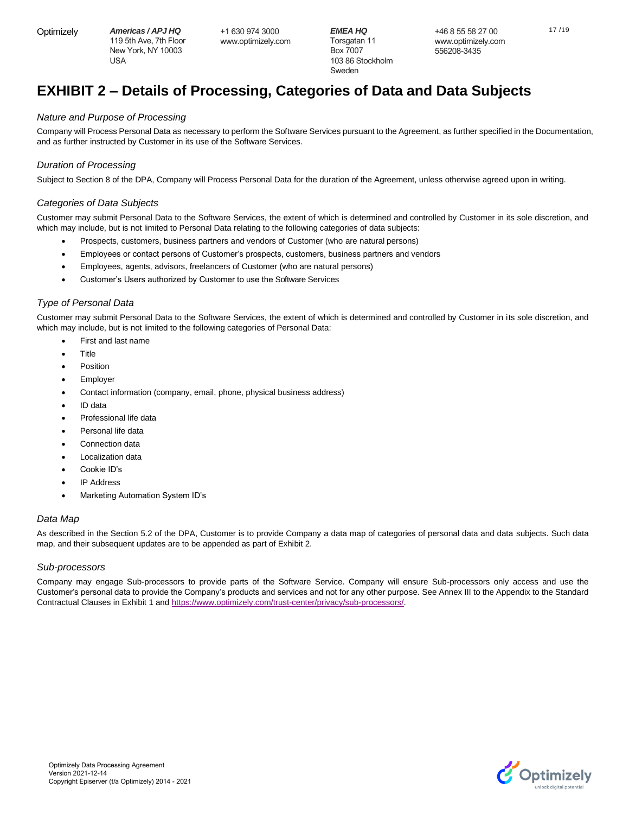+1 630 974 3000 www.optimizely.com *EMEA HQ* Torsgatan 11 Box 7007 103 86 Stockholm Sweden

# **EXHIBIT 2 – Details of Processing, Categories of Data and Data Subjects**

## *Nature and Purpose of Processing*

Company will Process Personal Data as necessary to perform the Software Services pursuant to the Agreement, as further specified in the Documentation, and as further instructed by Customer in its use of the Software Services.

## *Duration of Processing*

Subject to Section 8 of the DPA, Company will Process Personal Data for the duration of the Agreement, unless otherwise agreed upon in writing.

## *Categories of Data Subjects*

Customer may submit Personal Data to the Software Services, the extent of which is determined and controlled by Customer in its sole discretion, and which may include, but is not limited to Personal Data relating to the following categories of data subjects:

- Prospects, customers, business partners and vendors of Customer (who are natural persons)
- Employees or contact persons of Customer's prospects, customers, business partners and vendors
- Employees, agents, advisors, freelancers of Customer (who are natural persons)
- Customer's Users authorized by Customer to use the Software Services

## *Type of Personal Data*

Customer may submit Personal Data to the Software Services, the extent of which is determined and controlled by Customer in its sole discretion, and which may include, but is not limited to the following categories of Personal Data:

- First and last name
- **Title**
- **Position**
- **Employer**
- Contact information (company, email, phone, physical business address)
- ID data
- Professional life data
- Personal life data
- Connection data
- Localization data
- Cookie ID's
- **IP Address**
- Marketing Automation System ID's

# *Data Map*

As described in the Section 5.2 of the DPA, Customer is to provide Company a data map of categories of personal data and data subjects. Such data map, and their subsequent updates are to be appended as part of Exhibit 2.

## *Sub-processors*

Company may engage Sub-processors to provide parts of the Software Service. Company will ensure Sub-processors only access and use the Customer's personal data to provide the Company's products and services and not for any other purpose. See Annex III to the Appendix to the Standard Contractual Clauses in Exhibit 1 and [https://www.optimizely.com/trust-center/privacy/sub-processors/.](https://www.optimizely.com/trust-center/privacy/sub-processors/)

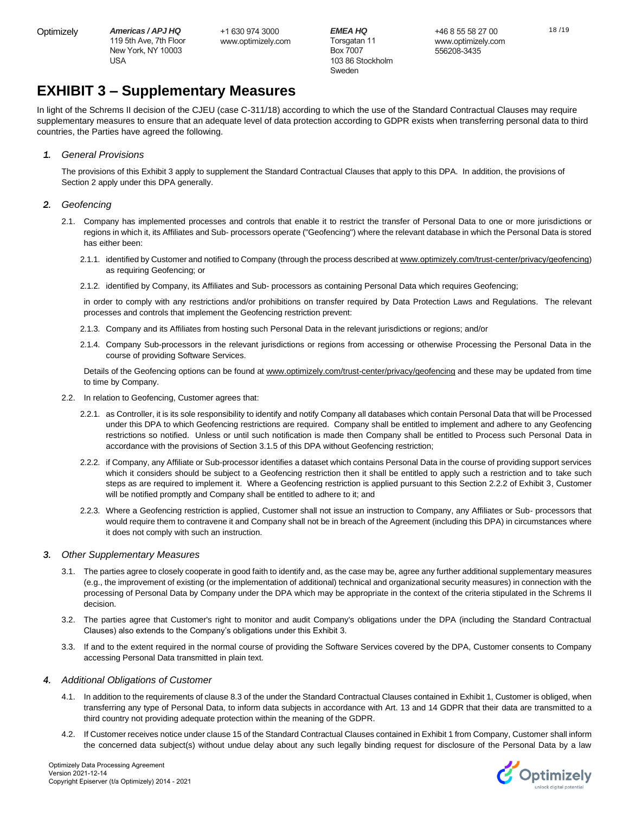+1 630 974 3000 www.optimizely.com *EMEA HQ* Torsgatan 11 Box 7007 103 86 Stockholm Sweden

# **EXHIBIT 3 – Supplementary Measures**

In light of the Schrems II decision of the CJEU (case C-311/18) according to which the use of the Standard Contractual Clauses may require supplementary measures to ensure that an adequate level of data protection according to GDPR exists when transferring personal data to third countries, the Parties have agreed the following.

# *1. General Provisions*

The provisions of this Exhibit 3 apply to supplement the Standard Contractual Clauses that apply to this DPA. In addition, the provisions of Section 2 apply under this DPA generally.

# *2. Geofencing*

- 2.1. Company has implemented processes and controls that enable it to restrict the transfer of Personal Data to one or more jurisdictions or regions in which it, its Affiliates and Sub- processors operate ("Geofencing") where the relevant database in which the Personal Data is stored has either been:
	- 2.1.1. identified by Customer and notified to Company (through the process described a[t www.optimizely.com/trust-center/privacy/geofencing\)](http://www.optimizely.com/trust-center/privacy/geofencing) as requiring Geofencing; or
	- 2.1.2. identified by Company, its Affiliates and Sub- processors as containing Personal Data which requires Geofencing;

in order to comply with any restrictions and/or prohibitions on transfer required by Data Protection Laws and Regulations. The relevant processes and controls that implement the Geofencing restriction prevent:

- 2.1.3. Company and its Affiliates from hosting such Personal Data in the relevant jurisdictions or regions; and/or
- 2.1.4. Company Sub-processors in the relevant jurisdictions or regions from accessing or otherwise Processing the Personal Data in the course of providing Software Services.

Details of the Geofencing options can be found a[t www.optimizely.com/trust-center/privacy/geofencing](http://www.optimizely.com/trust-center/privacy/geofencing) and these may be updated from time to time by Company.

- 2.2. In relation to Geofencing, Customer agrees that:
	- 2.2.1. as Controller, it is its sole responsibility to identify and notify Company all databases which contain Personal Data that will be Processed under this DPA to which Geofencing restrictions are required. Company shall be entitled to implement and adhere to any Geofencing restrictions so notified. Unless or until such notification is made then Company shall be entitled to Process such Personal Data in accordance with the provisions of Section 3.1.5 of this DPA without Geofencing restriction;
	- 2.2.2. if Company, any Affiliate or Sub-processor identifies a dataset which contains Personal Data in the course of providing support services which it considers should be subject to a Geofencing restriction then it shall be entitled to apply such a restriction and to take such steps as are required to implement it. Where a Geofencing restriction is applied pursuant to this Section 2.2.2 of Exhibit 3, Customer will be notified promptly and Company shall be entitled to adhere to it; and
	- 2.2.3. Where a Geofencing restriction is applied, Customer shall not issue an instruction to Company, any Affiliates or Sub- processors that would require them to contravene it and Company shall not be in breach of the Agreement (including this DPA) in circumstances where it does not comply with such an instruction.

# *3. Other Supplementary Measures*

- 3.1. The parties agree to closely cooperate in good faith to identify and, as the case may be, agree any further additional supplementary measures (e.g., the improvement of existing (or the implementation of additional) technical and organizational security measures) in connection with the processing of Personal Data by Company under the DPA which may be appropriate in the context of the criteria stipulated in the Schrems II decision.
- 3.2. The parties agree that Customer's right to monitor and audit Company's obligations under the DPA (including the Standard Contractual Clauses) also extends to the Company's obligations under this Exhibit 3.
- 3.3. If and to the extent required in the normal course of providing the Software Services covered by the DPA, Customer consents to Company accessing Personal Data transmitted in plain text.

# *4. Additional Obligations of Customer*

- 4.1. In addition to the requirements of clause 8.3 of the under the Standard Contractual Clauses contained in Exhibit 1, Customer is obliged, when transferring any type of Personal Data, to inform data subjects in accordance with Art. 13 and 14 GDPR that their data are transmitted to a third country not providing adequate protection within the meaning of the GDPR.
- 4.2. If Customer receives notice under clause 15 of the Standard Contractual Clauses contained in Exhibit 1 from Company, Customer shall inform the concerned data subject(s) without undue delay about any such legally binding request for disclosure of the Personal Data by a law



18 /19